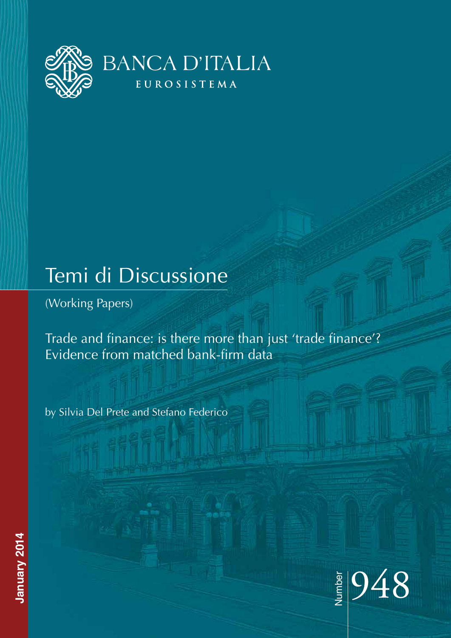

# Temi di Discussione

(Working Papers)

Trade and finance: is there more than just 'trade finance'? Evidence from matched bank-firm data

by Silvia Del Prete and Stefano Federico



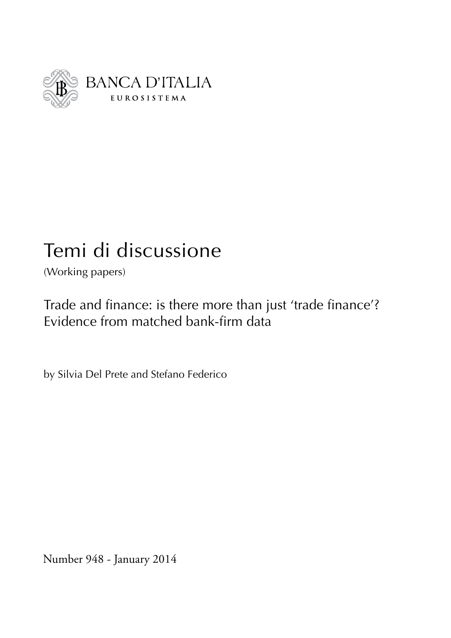

# Temi di discussione

(Working papers)

Trade and finance: is there more than just 'trade finance'? Evidence from matched bank-firm data

by Silvia Del Prete and Stefano Federico

Number 948 - January 2014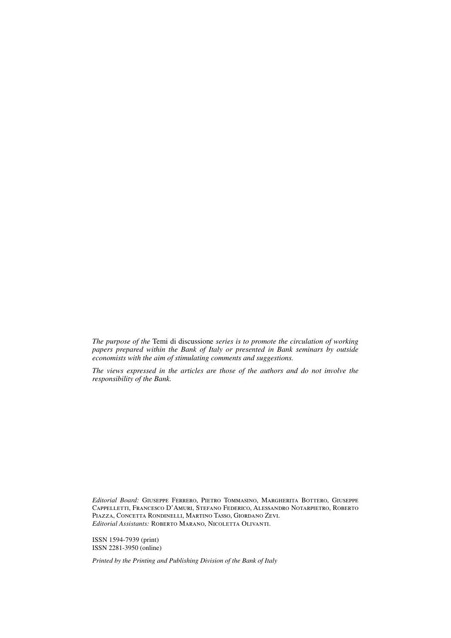*The purpose of the* Temi di discussione *series is to promote the circulation of working papers prepared within the Bank of Italy or presented in Bank seminars by outside economists with the aim of stimulating comments and suggestions.*

*The views expressed in the articles are those of the authors and do not involve the responsibility of the Bank.*

*Editorial Board:* Giuseppe Ferrero, Pietro Tommasino, Margherita Bottero, Giuseppe Cappelletti, Francesco D'Amuri, Stefano Federico, Alessandro Notarpietro, Roberto Piazza, Concetta Rondinelli, Martino Tasso, Giordano Zevi. *Editorial Assistants:* Roberto Marano, Nicoletta Olivanti.

ISSN 1594-7939 (print) ISSN 2281-3950 (online)

*Printed by the Printing and Publishing Division of the Bank of Italy*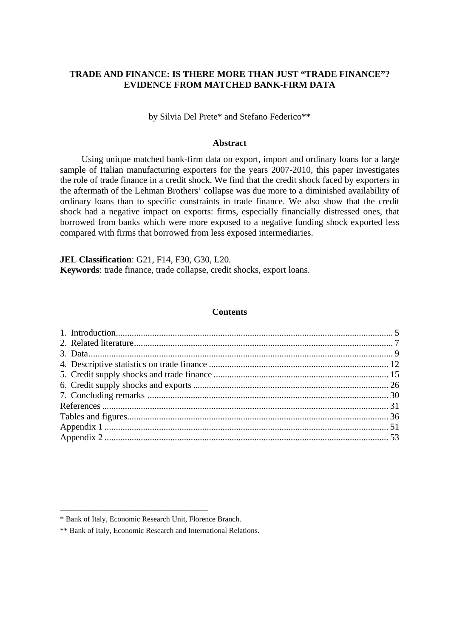### **TRADE AND FINANCE: IS THERE MORE THAN JUST "TRADE FINANCE"? EVIDENCE FROM MATCHED BANK-FIRM DATA**

by Silvia Del Prete\* and Stefano Federico\*\*

#### **Abstract**

Using unique matched bank-firm data on export, import and ordinary loans for a large sample of Italian manufacturing exporters for the years 2007-2010, this paper investigates the role of trade finance in a credit shock. We find that the credit shock faced by exporters in the aftermath of the Lehman Brothers' collapse was due more to a diminished availability of ordinary loans than to specific constraints in trade finance. We also show that the credit shock had a negative impact on exports: firms, especially financially distressed ones, that borrowed from banks which were more exposed to a negative funding shock exported less compared with firms that borrowed from less exposed intermediaries.

**JEL Classification**: G21, F14, F30, G30, L20. **Keywords**: trade finance, trade collapse, credit shocks, export loans.

#### **Contents**

\_\_\_\_\_\_\_\_\_\_\_\_\_\_\_\_\_\_\_\_\_\_\_\_\_\_\_\_\_\_\_\_\_\_\_\_\_\_\_

<sup>\*</sup> Bank of Italy, Economic Research Unit, Florence Branch.

<sup>\*\*</sup> Bank of Italy, Economic Research and International Relations.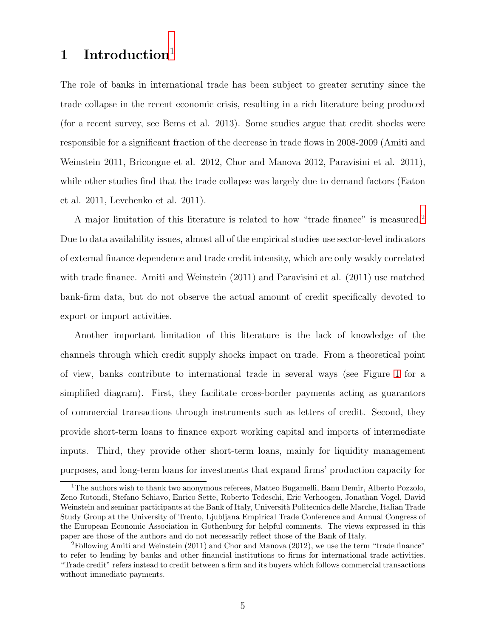# **1 Introduction**[1](#page-6-0)

The role of banks in international trade has been subject to greater scrutiny since the trade collapse in the recent economic crisis, resulting in a rich literature being produced (for a recent survey, see Bems et al. 2013). Some studies argue that credit shocks were responsible for a significant fraction of the decrease in trade flows in 2008-2009 (Amiti and Weinstein 2011, Bricongne et al. 2012, Chor and Manova 2012, Paravisini et al. 2011), while other studies find that the trade collapse was largely due to demand factors (Eaton et al. 2011, Levchenko et al. 2011).

A major limitation of this literature is related to how "trade finance" is measured.[2](#page-6-1) Due to data availability issues, almost all of the empirical studies use sector-level indicators of external finance dependence and trade credit intensity, which are only weakly correlated with trade finance. Amiti and Weinstein (2011) and Paravisini et al. (2011) use matched bank-firm data, but do not observe the actual amount of credit specifically devoted to export or import activities.

Another important limitation of this literature is the lack of knowledge of the channels through which credit supply shocks impact on trade. From a theoretical point of view, banks contribute to international trade in several ways (see Figure [1](#page-48-0) for a simplified diagram). First, they facilitate cross-border payments acting as guarantors of commercial transactions through instruments such as letters of credit. Second, they provide short-term loans to finance export working capital and imports of intermediate inputs. Third, they provide other short-term loans, mainly for liquidity management purposes, and long-term loans for investments that expand firms' production capacity for

<span id="page-6-0"></span><sup>&</sup>lt;sup>1</sup>The authors wish to thank two anonymous referees, Matteo Bugamelli, Banu Demir, Alberto Pozzolo, Zeno Rotondi, Stefano Schiavo, Enrico Sette, Roberto Tedeschi, Eric Verhoogen, Jonathan Vogel, David Weinstein and seminar participants at the Bank of Italy, Università Politecnica delle Marche, Italian Trade Study Group at the University of Trento, Ljubljana Empirical Trade Conference and Annual Congress of the European Economic Association in Gothenburg for helpful comments. The views expressed in this paper are those of the authors and do not necessarily reflect those of the Bank of Italy.

<span id="page-6-1"></span> ${}^{2}$ Following Amiti and Weinstein (2011) and Chor and Manova (2012), we use the term "trade finance" to refer to lending by banks and other financial institutions to firms for international trade activities. "Trade credit" refers instead to credit between a firm and its buyers which follows commercial transactions without immediate payments.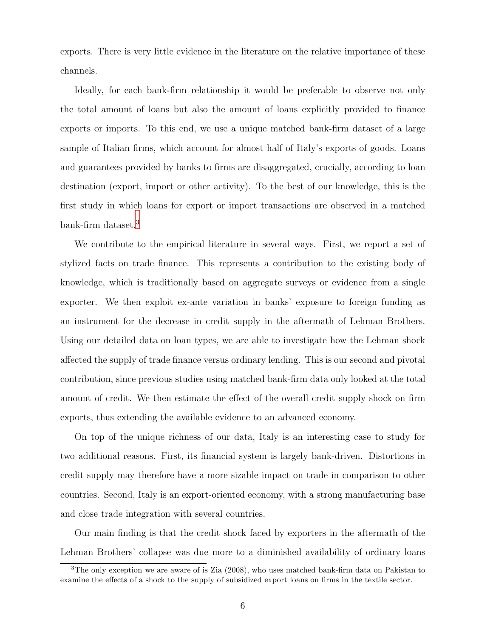exports. There is very little evidence in the literature on the relative importance of these channels.

Ideally, for each bank-firm relationship it would be preferable to observe not only the total amount of loans but also the amount of loans explicitly provided to finance exports or imports. To this end, we use a unique matched bank-firm dataset of a large sample of Italian firms, which account for almost half of Italy's exports of goods. Loans and guarantees provided by banks to firms are disaggregated, crucially, according to loan destination (export, import or other activity). To the best of our knowledge, this is the first study in which loans for export or import transactions are observed in a matched bank-firm dataset.<sup>[3](#page-7-0)</sup>

We contribute to the empirical literature in several ways. First, we report a set of stylized facts on trade finance. This represents a contribution to the existing body of knowledge, which is traditionally based on aggregate surveys or evidence from a single exporter. We then exploit ex-ante variation in banks' exposure to foreign funding as an instrument for the decrease in credit supply in the aftermath of Lehman Brothers. Using our detailed data on loan types, we are able to investigate how the Lehman shock affected the supply of trade finance versus ordinary lending. This is our second and pivotal contribution, since previous studies using matched bank-firm data only looked at the total amount of credit. We then estimate the effect of the overall credit supply shock on firm exports, thus extending the available evidence to an advanced economy.

On top of the unique richness of our data, Italy is an interesting case to study for two additional reasons. First, its financial system is largely bank-driven. Distortions in credit supply may therefore have a more sizable impact on trade in comparison to other countries. Second, Italy is an export-oriented economy, with a strong manufacturing base and close trade integration with several countries.

Our main finding is that the credit shock faced by exporters in the aftermath of the Lehman Brothers' collapse was due more to a diminished availability of ordinary loans

<span id="page-7-0"></span><sup>&</sup>lt;sup>3</sup>The only exception we are aware of is Zia (2008), who uses matched bank-firm data on Pakistan to examine the effects of a shock to the supply of subsidized export loans on firms in the textile sector.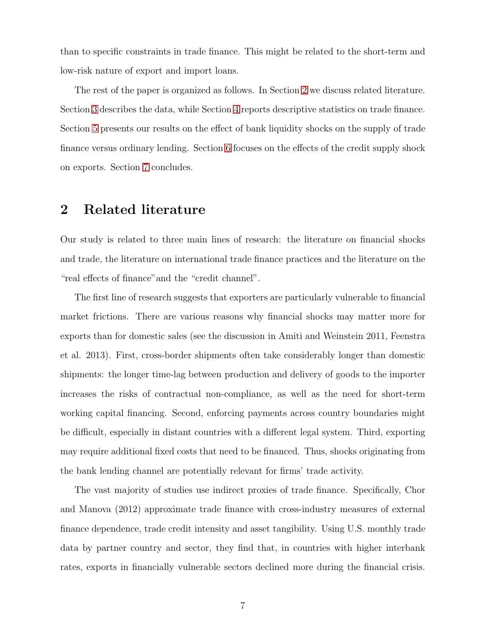than to specific constraints in trade finance. This might be related to the short-term and low-risk nature of export and import loans.

The rest of the paper is organized as follows. In Section [2](#page-8-0) we discuss related literature. Section [3](#page-10-0) describes the data, while Section [4](#page-13-0) reports descriptive statistics on trade finance. Section [5](#page-16-0) presents our results on the effect of bank liquidity shocks on the supply of trade finance versus ordinary lending. Section [6](#page-27-0) focuses on the effects of the credit supply shock on exports. Section [7](#page-31-0) concludes.

## <span id="page-8-0"></span>**2 Related literature**

Our study is related to three main lines of research: the literature on financial shocks and trade, the literature on international trade finance practices and the literature on the "real effects of finance"and the "credit channel".

The first line of research suggests that exporters are particularly vulnerable to financial market frictions. There are various reasons why financial shocks may matter more for exports than for domestic sales (see the discussion in Amiti and Weinstein 2011, Feenstra et al. 2013). First, cross-border shipments often take considerably longer than domestic shipments: the longer time-lag between production and delivery of goods to the importer increases the risks of contractual non-compliance, as well as the need for short-term working capital financing. Second, enforcing payments across country boundaries might be difficult, especially in distant countries with a different legal system. Third, exporting may require additional fixed costs that need to be financed. Thus, shocks originating from the bank lending channel are potentially relevant for firms' trade activity.

The vast majority of studies use indirect proxies of trade finance. Specifically, Chor and Manova (2012) approximate trade finance with cross-industry measures of external finance dependence, trade credit intensity and asset tangibility. Using U.S. monthly trade data by partner country and sector, they find that, in countries with higher interbank rates, exports in financially vulnerable sectors declined more during the financial crisis.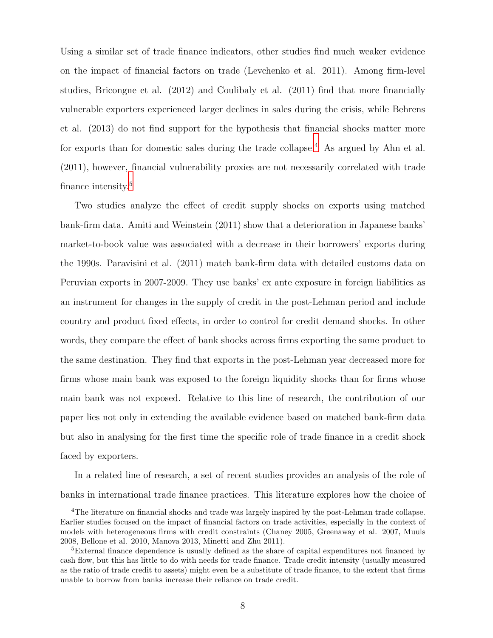Using a similar set of trade finance indicators, other studies find much weaker evidence on the impact of financial factors on trade (Levchenko et al. 2011). Among firm-level studies, Bricongne et al. (2012) and Coulibaly et al. (2011) find that more financially vulnerable exporters experienced larger declines in sales during the crisis, while Behrens et al. (2013) do not find support for the hypothesis that financial shocks matter more for exports than for domestic sales during the trade collapse.<sup>[4](#page-9-0)</sup> As argued by Ahn et al. (2011), however, financial vulnerability proxies are not necessarily correlated with trade finance intensity.<sup>[5](#page-9-1)</sup>

Two studies analyze the effect of credit supply shocks on exports using matched bank-firm data. Amiti and Weinstein (2011) show that a deterioration in Japanese banks' market-to-book value was associated with a decrease in their borrowers' exports during the 1990s. Paravisini et al. (2011) match bank-firm data with detailed customs data on Peruvian exports in 2007-2009. They use banks' ex ante exposure in foreign liabilities as an instrument for changes in the supply of credit in the post-Lehman period and include country and product fixed effects, in order to control for credit demand shocks. In other words, they compare the effect of bank shocks across firms exporting the same product to the same destination. They find that exports in the post-Lehman year decreased more for firms whose main bank was exposed to the foreign liquidity shocks than for firms whose main bank was not exposed. Relative to this line of research, the contribution of our paper lies not only in extending the available evidence based on matched bank-firm data but also in analysing for the first time the specific role of trade finance in a credit shock faced by exporters.

In a related line of research, a set of recent studies provides an analysis of the role of banks in international trade finance practices. This literature explores how the choice of

<span id="page-9-0"></span><sup>4</sup>The literature on financial shocks and trade was largely inspired by the post-Lehman trade collapse. Earlier studies focused on the impact of financial factors on trade activities, especially in the context of models with heterogeneous firms with credit constraints (Chaney 2005, Greenaway et al. 2007, Muuls 2008, Bellone et al. 2010, Manova 2013, Minetti and Zhu 2011).

<span id="page-9-1"></span><sup>&</sup>lt;sup>5</sup>External finance dependence is usually defined as the share of capital expenditures not financed by cash flow, but this has little to do with needs for trade finance. Trade credit intensity (usually measured as the ratio of trade credit to assets) might even be a substitute of trade finance, to the extent that firms unable to borrow from banks increase their reliance on trade credit.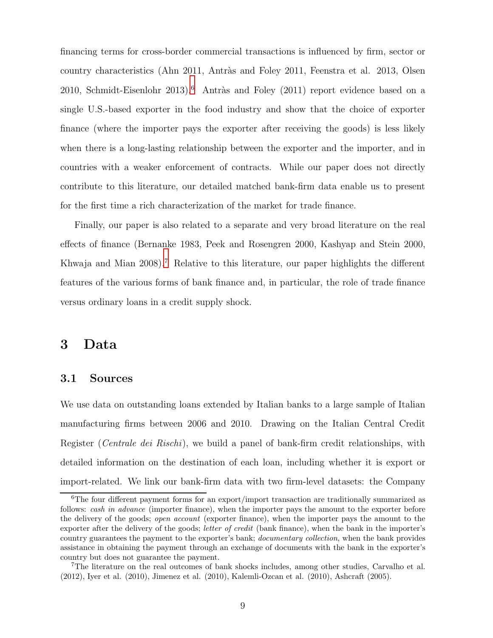financing terms for cross-border commercial transactions is influenced by firm, sector or country characteristics (Ahn 2011, Antràs and Foley 2011, Feenstra et al. 2013, Olsen 2010, Schmidt-Eisenlohr 2013).<sup>[6](#page-10-1)</sup> Antràs and Foley (2011) report evidence based on a single U.S.-based exporter in the food industry and show that the choice of exporter finance (where the importer pays the exporter after receiving the goods) is less likely when there is a long-lasting relationship between the exporter and the importer, and in countries with a weaker enforcement of contracts. While our paper does not directly contribute to this literature, our detailed matched bank-firm data enable us to present for the first time a rich characterization of the market for trade finance.

Finally, our paper is also related to a separate and very broad literature on the real effects of finance (Bernanke 1983, Peek and Rosengren 2000, Kashyap and Stein 2000, Khwaja and Mian 2008).<sup>[7](#page-10-2)</sup> Relative to this literature, our paper highlights the different features of the various forms of bank finance and, in particular, the role of trade finance versus ordinary loans in a credit supply shock.

# <span id="page-10-0"></span>**3 Data**

#### **3.1 Sources**

We use data on outstanding loans extended by Italian banks to a large sample of Italian manufacturing firms between 2006 and 2010. Drawing on the Italian Central Credit Register (*Centrale dei Rischi*), we build a panel of bank-firm credit relationships, with detailed information on the destination of each loan, including whether it is export or import-related. We link our bank-firm data with two firm-level datasets: the Company

<span id="page-10-1"></span><sup>&</sup>lt;sup>6</sup>The four different payment forms for an export/import transaction are traditionally summarized as follows: *cash in advance* (importer finance), when the importer pays the amount to the exporter before the delivery of the goods; *open account* (exporter finance), when the importer pays the amount to the exporter after the delivery of the goods; *letter of credit* (bank finance), when the bank in the importer's country guarantees the payment to the exporter's bank; *documentary collection*, when the bank provides assistance in obtaining the payment through an exchange of documents with the bank in the exporter's country but does not guarantee the payment.

<span id="page-10-2"></span><sup>7</sup>The literature on the real outcomes of bank shocks includes, among other studies, Carvalho et al. (2012), Iyer et al. (2010), Jimenez et al. (2010), Kalemli-Ozcan et al. (2010), Ashcraft (2005).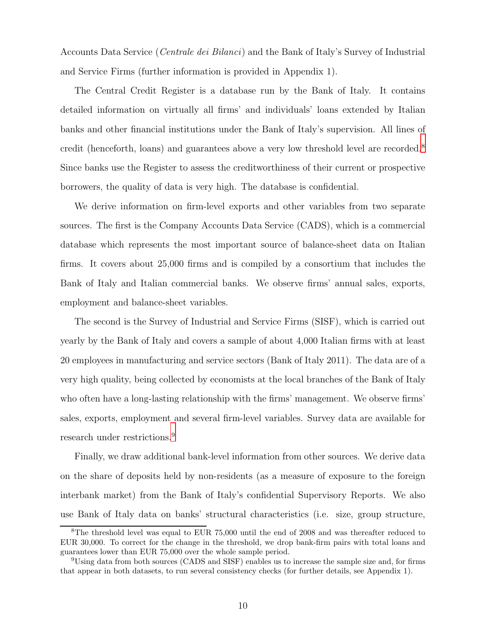Accounts Data Service (*Centrale dei Bilanci*) and the Bank of Italy's Survey of Industrial and Service Firms (further information is provided in Appendix 1).

The Central Credit Register is a database run by the Bank of Italy. It contains detailed information on virtually all firms' and individuals' loans extended by Italian banks and other financial institutions under the Bank of Italy's supervision. All lines of credit (henceforth, loans) and guarantees above a very low threshold level are recorded.<sup>[8](#page-11-0)</sup> Since banks use the Register to assess the creditworthiness of their current or prospective borrowers, the quality of data is very high. The database is confidential.

We derive information on firm-level exports and other variables from two separate sources. The first is the Company Accounts Data Service (CADS), which is a commercial database which represents the most important source of balance-sheet data on Italian firms. It covers about 25,000 firms and is compiled by a consortium that includes the Bank of Italy and Italian commercial banks. We observe firms' annual sales, exports, employment and balance-sheet variables.

The second is the Survey of Industrial and Service Firms (SISF), which is carried out yearly by the Bank of Italy and covers a sample of about 4,000 Italian firms with at least 20 employees in manufacturing and service sectors (Bank of Italy 2011). The data are of a very high quality, being collected by economists at the local branches of the Bank of Italy who often have a long-lasting relationship with the firms' management. We observe firms' sales, exports, employment and several firm-level variables. Survey data are available for research under restrictions.<sup>[9](#page-11-1)</sup>

Finally, we draw additional bank-level information from other sources. We derive data on the share of deposits held by non-residents (as a measure of exposure to the foreign interbank market) from the Bank of Italy's confidential Supervisory Reports. We also use Bank of Italy data on banks' structural characteristics (i.e. size, group structure,

<span id="page-11-0"></span><sup>8</sup>The threshold level was equal to EUR 75,000 until the end of 2008 and was thereafter reduced to EUR 30,000. To correct for the change in the threshold, we drop bank-firm pairs with total loans and guarantees lower than EUR 75,000 over the whole sample period.

<span id="page-11-1"></span><sup>9</sup>Using data from both sources (CADS and SISF) enables us to increase the sample size and, for firms that appear in both datasets, to run several consistency checks (for further details, see Appendix 1).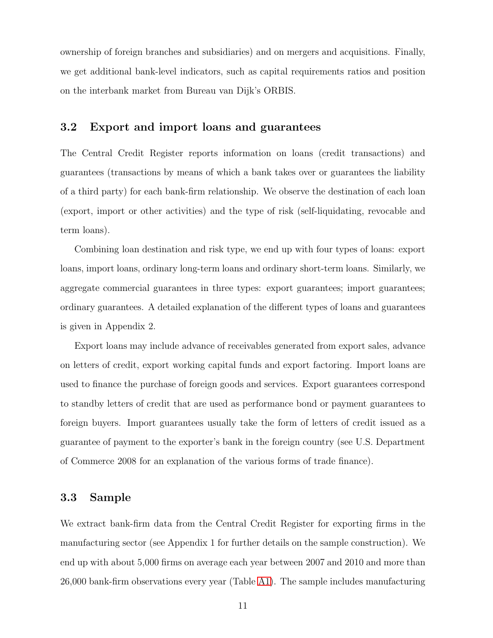ownership of foreign branches and subsidiaries) and on mergers and acquisitions. Finally, we get additional bank-level indicators, such as capital requirements ratios and position on the interbank market from Bureau van Dijk's ORBIS.

#### **3.2 Export and import loans and guarantees**

The Central Credit Register reports information on loans (credit transactions) and guarantees (transactions by means of which a bank takes over or guarantees the liability of a third party) for each bank-firm relationship. We observe the destination of each loan (export, import or other activities) and the type of risk (self-liquidating, revocable and term loans).

Combining loan destination and risk type, we end up with four types of loans: export loans, import loans, ordinary long-term loans and ordinary short-term loans. Similarly, we aggregate commercial guarantees in three types: export guarantees; import guarantees; ordinary guarantees. A detailed explanation of the different types of loans and guarantees is given in Appendix 2.

Export loans may include advance of receivables generated from export sales, advance on letters of credit, export working capital funds and export factoring. Import loans are used to finance the purchase of foreign goods and services. Export guarantees correspond to standby letters of credit that are used as performance bond or payment guarantees to foreign buyers. Import guarantees usually take the form of letters of credit issued as a guarantee of payment to the exporter's bank in the foreign country (see U.S. Department of Commerce 2008 for an explanation of the various forms of trade finance).

#### <span id="page-12-0"></span>**3.3 Sample**

We extract bank-firm data from the Central Credit Register for exporting firms in the manufacturing sector (see Appendix 1 for further details on the sample construction). We end up with about 5,000 firms on average each year between 2007 and 2010 and more than 26,000 bank-firm observations every year (Table [A1\)](#page-56-0). The sample includes manufacturing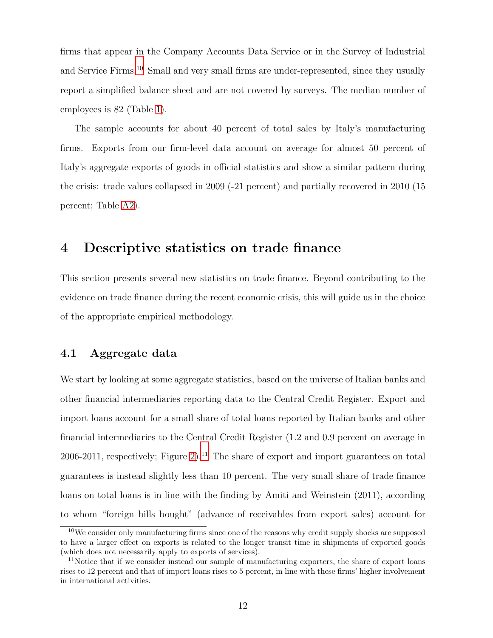firms that appear in the Company Accounts Data Service or in the Survey of Industrial and Service Firms.[10](#page-13-1) Small and very small firms are under-represented, since they usually report a simplified balance sheet and are not covered by surveys. The median number of employees is 82 (Table [1\)](#page-37-0).

The sample accounts for about 40 percent of total sales by Italy's manufacturing firms. Exports from our firm-level data account on average for almost 50 percent of Italy's aggregate exports of goods in official statistics and show a similar pattern during the crisis: trade values collapsed in 2009 (-21 percent) and partially recovered in 2010 (15 percent; Table [A2\)](#page-56-1).

## <span id="page-13-0"></span>**4 Descriptive statistics on trade finance**

This section presents several new statistics on trade finance. Beyond contributing to the evidence on trade finance during the recent economic crisis, this will guide us in the choice of the appropriate empirical methodology.

### **4.1 Aggregate data**

We start by looking at some aggregate statistics, based on the universe of Italian banks and other financial intermediaries reporting data to the Central Credit Register. Export and import loans account for a small share of total loans reported by Italian banks and other financial intermediaries to the Central Credit Register (1.2 and 0.9 percent on average in 2006-2011, respectively; Figure [2\)](#page-49-0).<sup>[11](#page-13-2)</sup> The share of export and import guarantees on total guarantees is instead slightly less than 10 percent. The very small share of trade finance loans on total loans is in line with the finding by Amiti and Weinstein (2011), according to whom "foreign bills bought" (advance of receivables from export sales) account for

<span id="page-13-1"></span> $10$ We consider only manufacturing firms since one of the reasons why credit supply shocks are supposed to have a larger effect on exports is related to the longer transit time in shipments of exported goods (which does not necessarily apply to exports of services).

<span id="page-13-2"></span><sup>&</sup>lt;sup>11</sup>Notice that if we consider instead our sample of manufacturing exporters, the share of export loans rises to 12 percent and that of import loans rises to 5 percent, in line with these firms' higher involvement in international activities.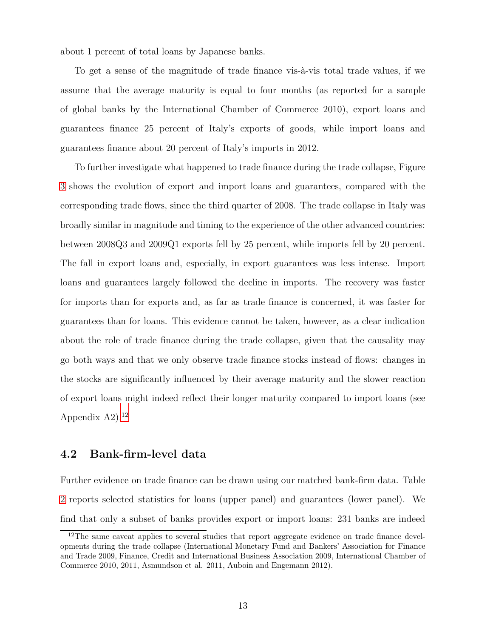about 1 percent of total loans by Japanese banks.

To get a sense of the magnitude of trade finance vis- $\alpha$ -vis total trade values, if we assume that the average maturity is equal to four months (as reported for a sample of global banks by the International Chamber of Commerce 2010), export loans and guarantees finance 25 percent of Italy's exports of goods, while import loans and guarantees finance about 20 percent of Italy's imports in 2012.

To further investigate what happened to trade finance during the trade collapse, Figure [3](#page-50-0) shows the evolution of export and import loans and guarantees, compared with the corresponding trade flows, since the third quarter of 2008. The trade collapse in Italy was broadly similar in magnitude and timing to the experience of the other advanced countries: between 2008Q3 and 2009Q1 exports fell by 25 percent, while imports fell by 20 percent. The fall in export loans and, especially, in export guarantees was less intense. Import loans and guarantees largely followed the decline in imports. The recovery was faster for imports than for exports and, as far as trade finance is concerned, it was faster for guarantees than for loans. This evidence cannot be taken, however, as a clear indication about the role of trade finance during the trade collapse, given that the causality may go both ways and that we only observe trade finance stocks instead of flows: changes in the stocks are significantly influenced by their average maturity and the slower reaction of export loans might indeed reflect their longer maturity compared to import loans (see Appendix  $A2$ ).<sup>[12](#page-14-0)</sup>

#### **4.2 Bank-firm-level data**

Further evidence on trade finance can be drawn using our matched bank-firm data. Table [2](#page-38-0) reports selected statistics for loans (upper panel) and guarantees (lower panel). We find that only a subset of banks provides export or import loans: 231 banks are indeed

<span id="page-14-0"></span><sup>&</sup>lt;sup>12</sup>The same caveat applies to several studies that report aggregate evidence on trade finance developments during the trade collapse (International Monetary Fund and Bankers' Association for Finance and Trade 2009, Finance, Credit and International Business Association 2009, International Chamber of Commerce 2010, 2011, Asmundson et al. 2011, Auboin and Engemann 2012).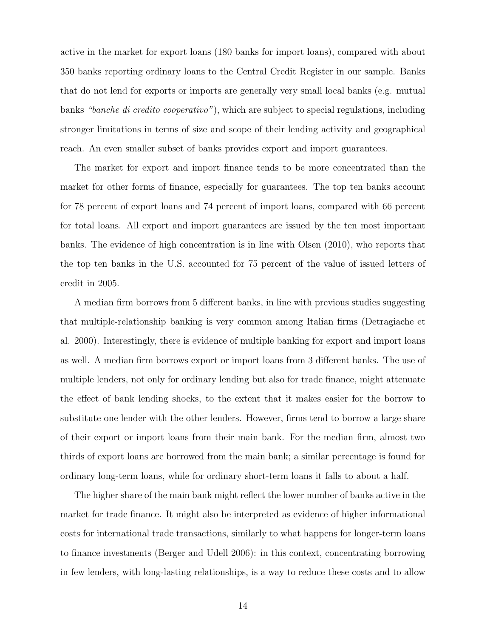active in the market for export loans (180 banks for import loans), compared with about 350 banks reporting ordinary loans to the Central Credit Register in our sample. Banks that do not lend for exports or imports are generally very small local banks (e.g. mutual banks *"banche di credito cooperativo"*), which are subject to special regulations, including stronger limitations in terms of size and scope of their lending activity and geographical reach. An even smaller subset of banks provides export and import guarantees.

The market for export and import finance tends to be more concentrated than the market for other forms of finance, especially for guarantees. The top ten banks account for 78 percent of export loans and 74 percent of import loans, compared with 66 percent for total loans. All export and import guarantees are issued by the ten most important banks. The evidence of high concentration is in line with Olsen (2010), who reports that the top ten banks in the U.S. accounted for 75 percent of the value of issued letters of credit in 2005.

A median firm borrows from 5 different banks, in line with previous studies suggesting that multiple-relationship banking is very common among Italian firms (Detragiache et al. 2000). Interestingly, there is evidence of multiple banking for export and import loans as well. A median firm borrows export or import loans from 3 different banks. The use of multiple lenders, not only for ordinary lending but also for trade finance, might attenuate the effect of bank lending shocks, to the extent that it makes easier for the borrow to substitute one lender with the other lenders. However, firms tend to borrow a large share of their export or import loans from their main bank. For the median firm, almost two thirds of export loans are borrowed from the main bank; a similar percentage is found for ordinary long-term loans, while for ordinary short-term loans it falls to about a half.

The higher share of the main bank might reflect the lower number of banks active in the market for trade finance. It might also be interpreted as evidence of higher informational costs for international trade transactions, similarly to what happens for longer-term loans to finance investments (Berger and Udell 2006): in this context, concentrating borrowing in few lenders, with long-lasting relationships, is a way to reduce these costs and to allow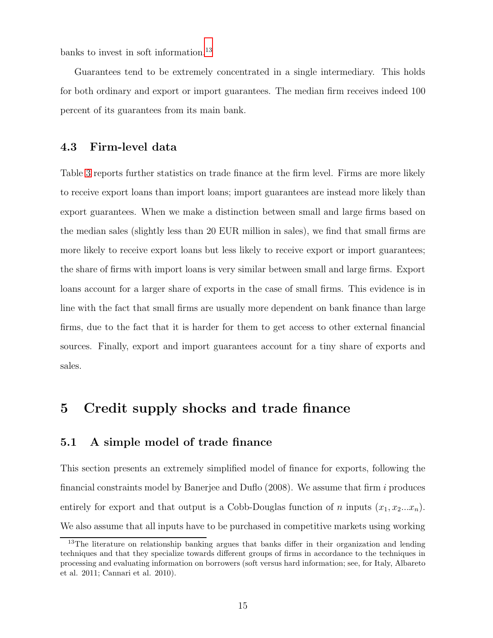banks to invest in soft information.<sup>[13](#page-16-1)</sup>

Guarantees tend to be extremely concentrated in a single intermediary. This holds for both ordinary and export or import guarantees. The median firm receives indeed 100 percent of its guarantees from its main bank.

## **4.3 Firm-level data**

Table [3](#page-39-0) reports further statistics on trade finance at the firm level. Firms are more likely to receive export loans than import loans; import guarantees are instead more likely than export guarantees. When we make a distinction between small and large firms based on the median sales (slightly less than 20 EUR million in sales), we find that small firms are more likely to receive export loans but less likely to receive export or import guarantees; the share of firms with import loans is very similar between small and large firms. Export loans account for a larger share of exports in the case of small firms. This evidence is in line with the fact that small firms are usually more dependent on bank finance than large firms, due to the fact that it is harder for them to get access to other external financial sources. Finally, export and import guarantees account for a tiny share of exports and sales.

## <span id="page-16-0"></span>**5 Credit supply shocks and trade finance**

## **5.1 A simple model of trade finance**

This section presents an extremely simplified model of finance for exports, following the financial constraints model by Banerjee and Duflo  $(2008)$ . We assume that firm i produces entirely for export and that output is a Cobb-Douglas function of n inputs  $(x_1, x_2...x_n)$ . We also assume that all inputs have to be purchased in competitive markets using working

<span id="page-16-1"></span><sup>&</sup>lt;sup>13</sup>The literature on relationship banking argues that banks differ in their organization and lending techniques and that they specialize towards different groups of firms in accordance to the techniques in processing and evaluating information on borrowers (soft versus hard information; see, for Italy, Albareto et al. 2011; Cannari et al. 2010).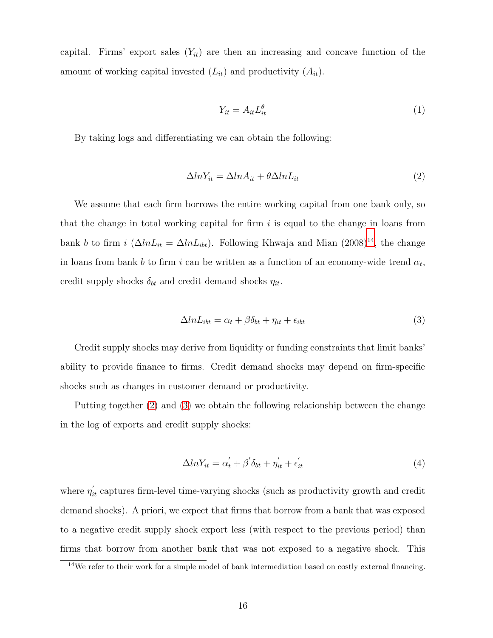capital. Firms' export sales  $(Y_{it})$  are then an increasing and concave function of the amount of working capital invested  $(L_{it})$  and productivity  $(A_{it})$ .

$$
Y_{it} = A_{it} L_{it}^{\theta} \tag{1}
$$

By taking logs and differentiating we can obtain the following:

<span id="page-17-1"></span>
$$
\Delta ln Y_{it} = \Delta ln A_{it} + \theta \Delta ln L_{it} \tag{2}
$$

We assume that each firm borrows the entire working capital from one bank only, so that the change in total working capital for firm  $i$  is equal to the change in loans from bank b to firm i  $(\Delta ln L_{it} = \Delta ln L_{ibt})$ . Following Khwaja and Mian  $(2008)^{14}$  $(2008)^{14}$  $(2008)^{14}$ , the change in loans from bank b to firm i can be written as a function of an economy-wide trend  $\alpha_t$ , credit supply shocks  $\delta_{bt}$  and credit demand shocks  $\eta_{it}$ .

<span id="page-17-2"></span>
$$
\Delta ln L_{ibt} = \alpha_t + \beta \delta_{bt} + \eta_{it} + \epsilon_{ibt} \tag{3}
$$

Credit supply shocks may derive from liquidity or funding constraints that limit banks' ability to provide finance to firms. Credit demand shocks may depend on firm-specific shocks such as changes in customer demand or productivity.

Putting together [\(2\)](#page-17-1) and [\(3\)](#page-17-2) we obtain the following relationship between the change in the log of exports and credit supply shocks:

<span id="page-17-3"></span>
$$
\Delta ln Y_{it} = \alpha_t' + \beta' \delta_{bt} + \eta_{it}' + \epsilon_{it}' \tag{4}
$$

where  $\eta'_{it}$  captures firm-level time-varying shocks (such as productivity growth and credit demand shocks). A priori, we expect that firms that borrow from a bank that was exposed to a negative credit supply shock export less (with respect to the previous period) than firms that borrow from another bank that was not exposed to a negative shock. This

<span id="page-17-0"></span><sup>14</sup>We refer to their work for a simple model of bank intermediation based on costly external financing.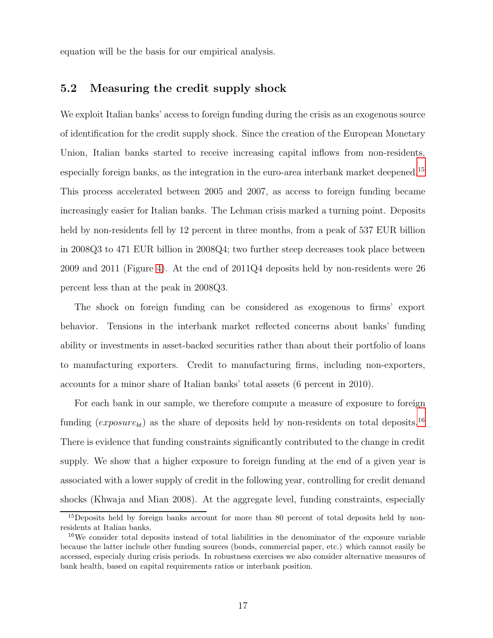equation will be the basis for our empirical analysis.

## **5.2 Measuring the credit supply shock**

We exploit Italian banks' access to foreign funding during the crisis as an exogenous source of identification for the credit supply shock. Since the creation of the European Monetary Union, Italian banks started to receive increasing capital inflows from non-residents, especially foreign banks, as the integration in the euro-area interbank market deepened.[15](#page-18-0) This process accelerated between 2005 and 2007, as access to foreign funding became increasingly easier for Italian banks. The Lehman crisis marked a turning point. Deposits held by non-residents fell by 12 percent in three months, from a peak of 537 EUR billion in 2008Q3 to 471 EUR billion in 2008Q4; two further steep decreases took place between 2009 and 2011 (Figure [4\)](#page-51-0). At the end of 2011Q4 deposits held by non-residents were 26 percent less than at the peak in 2008Q3.

The shock on foreign funding can be considered as exogenous to firms' export behavior. Tensions in the interbank market reflected concerns about banks' funding ability or investments in asset-backed securities rather than about their portfolio of loans to manufacturing exporters. Credit to manufacturing firms, including non-exporters, accounts for a minor share of Italian banks' total assets (6 percent in 2010).

For each bank in our sample, we therefore compute a measure of exposure to foreign funding ( $exposure_{bt}$ ) as the share of deposits held by non-residents on total deposits.<sup>[16](#page-18-1)</sup> There is evidence that funding constraints significantly contributed to the change in credit supply. We show that a higher exposure to foreign funding at the end of a given year is associated with a lower supply of credit in the following year, controlling for credit demand shocks (Khwaja and Mian 2008). At the aggregate level, funding constraints, especially

<span id="page-18-0"></span><sup>&</sup>lt;sup>15</sup>Deposits held by foreign banks account for more than 80 percent of total deposits held by nonresidents at Italian banks.

<span id="page-18-1"></span><sup>&</sup>lt;sup>16</sup>We consider total deposits instead of total liabilities in the denominator of the exposure variable because the latter include other funding sources (bonds, commercial paper, etc.) which cannot easily be accessed, especialy during crisis periods. In robustness exercises we also consider alternative measures of bank health, based on capital requirements ratios or interbank position.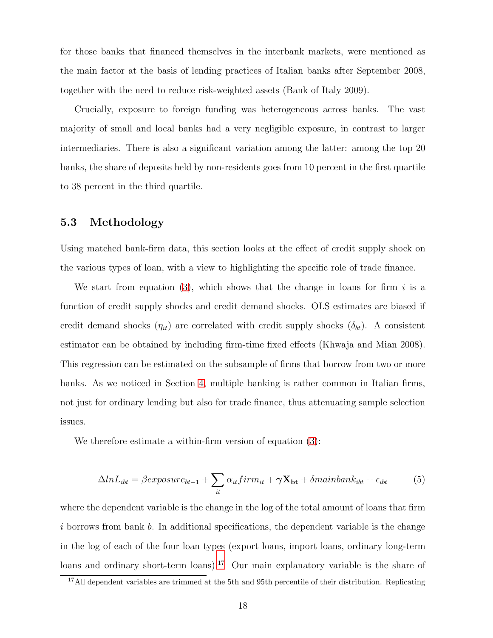for those banks that financed themselves in the interbank markets, were mentioned as the main factor at the basis of lending practices of Italian banks after September 2008, together with the need to reduce risk-weighted assets (Bank of Italy 2009).

Crucially, exposure to foreign funding was heterogeneous across banks. The vast majority of small and local banks had a very negligible exposure, in contrast to larger intermediaries. There is also a significant variation among the latter: among the top 20 banks, the share of deposits held by non-residents goes from 10 percent in the first quartile to 38 percent in the third quartile.

#### **5.3 Methodology**

Using matched bank-firm data, this section looks at the effect of credit supply shock on the various types of loan, with a view to highlighting the specific role of trade finance.

We start from equation [\(3\)](#page-17-2), which shows that the change in loans for firm i is a function of credit supply shocks and credit demand shocks. OLS estimates are biased if credit demand shocks  $(\eta_{it})$  are correlated with credit supply shocks  $(\delta_{bt})$ . A consistent estimator can be obtained by including firm-time fixed effects (Khwaja and Mian 2008). This regression can be estimated on the subsample of firms that borrow from two or more banks. As we noticed in Section [4,](#page-13-0) multiple banking is rather common in Italian firms, not just for ordinary lending but also for trade finance, thus attenuating sample selection issues.

We therefore estimate a within-firm version of equation  $(3)$ :

<span id="page-19-1"></span>
$$
\Delta ln L_{ibt} = \beta exposure_{bt-1} + \sum_{it} \alpha_{it} firm_{it} + \gamma \mathbf{X_{bt}} + \delta mainbank_{ibt} + \epsilon_{ibt}
$$
 (5)

where the dependent variable is the change in the log of the total amount of loans that firm i borrows from bank b. In additional specifications, the dependent variable is the change in the log of each of the four loan types (export loans, import loans, ordinary long-term loans and ordinary short-term loans).<sup>[17](#page-19-0)</sup> Our main explanatory variable is the share of

<span id="page-19-0"></span><sup>&</sup>lt;sup>17</sup>All dependent variables are trimmed at the 5th and 95th percentile of their distribution. Replicating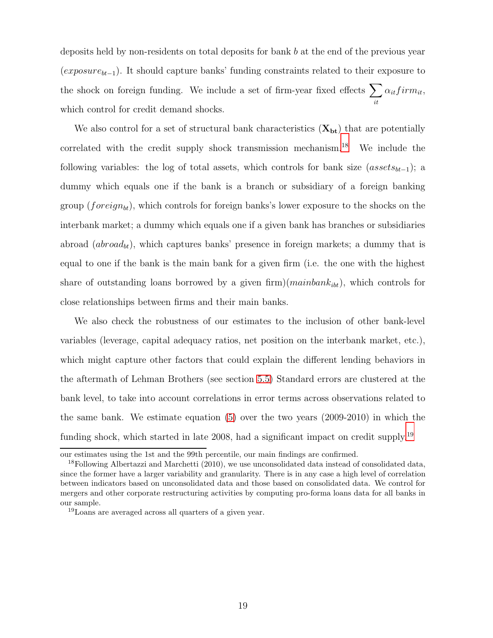deposits held by non-residents on total deposits for bank b at the end of the previous year (exposurebt*−*<sup>1</sup>). It should capture banks' funding constraints related to their exposure to the shock on foreign funding. We include a set of firm-year fixed effects  $\sum$ it  $\alpha_{it} firm_{it}$ which control for credit demand shocks.

We also control for a set of structural bank characteristics  $(X_{bt})$  that are potentially correlated with the credit supply shock transmission mechanism.<sup>[18](#page-20-0)</sup> We include the following variables: the log of total assets, which controls for bank size (assets<sub>bt−1</sub>); a dummy which equals one if the bank is a branch or subsidiary of a foreign banking group (foreign<sub>bt</sub>), which controls for foreign banks's lower exposure to the shocks on the interbank market; a dummy which equals one if a given bank has branches or subsidiaries abroad  $(abroad_{bt})$ , which captures banks' presence in foreign markets; a dummy that is equal to one if the bank is the main bank for a given firm (i.e. the one with the highest share of outstanding loans borrowed by a given firm)( $mainbank_{ibt}$ ), which controls for close relationships between firms and their main banks.

We also check the robustness of our estimates to the inclusion of other bank-level variables (leverage, capital adequacy ratios, net position on the interbank market, etc.), which might capture other factors that could explain the different lending behaviors in the aftermath of Lehman Brothers (see section [5.5\)](#page-23-0) Standard errors are clustered at the bank level, to take into account correlations in error terms across observations related to the same bank. We estimate equation [\(5\)](#page-19-1) over the two years (2009-2010) in which the funding shock, which started in late 2008, had a significant impact on credit supply.<sup>[19](#page-20-1)</sup>

our estimates using the 1st and the 99th percentile, our main findings are confirmed.

<span id="page-20-0"></span><sup>18</sup>Following Albertazzi and Marchetti (2010), we use unconsolidated data instead of consolidated data, since the former have a larger variability and granularity. There is in any case a high level of correlation between indicators based on unconsolidated data and those based on consolidated data. We control for mergers and other corporate restructuring activities by computing pro-forma loans data for all banks in our sample.

<span id="page-20-1"></span><sup>19</sup>Loans are averaged across all quarters of a given year.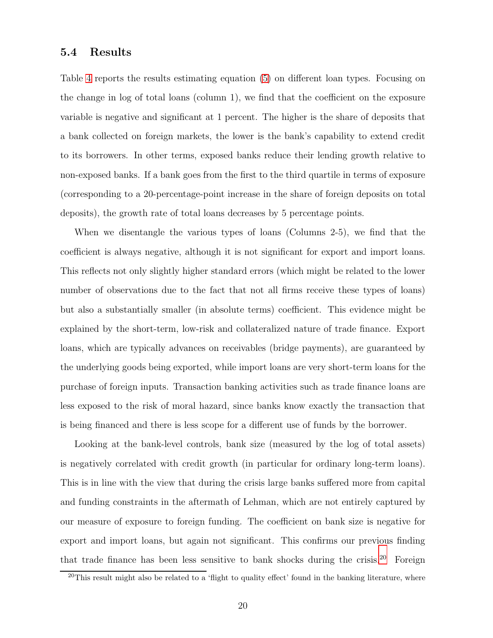#### **5.4 Results**

Table [4](#page-40-0) reports the results estimating equation [\(5\)](#page-19-1) on different loan types. Focusing on the change in log of total loans (column 1), we find that the coefficient on the exposure variable is negative and significant at 1 percent. The higher is the share of deposits that a bank collected on foreign markets, the lower is the bank's capability to extend credit to its borrowers. In other terms, exposed banks reduce their lending growth relative to non-exposed banks. If a bank goes from the first to the third quartile in terms of exposure (corresponding to a 20-percentage-point increase in the share of foreign deposits on total deposits), the growth rate of total loans decreases by 5 percentage points.

When we disentangle the various types of loans (Columns 2-5), we find that the coefficient is always negative, although it is not significant for export and import loans. This reflects not only slightly higher standard errors (which might be related to the lower number of observations due to the fact that not all firms receive these types of loans) but also a substantially smaller (in absolute terms) coefficient. This evidence might be explained by the short-term, low-risk and collateralized nature of trade finance. Export loans, which are typically advances on receivables (bridge payments), are guaranteed by the underlying goods being exported, while import loans are very short-term loans for the purchase of foreign inputs. Transaction banking activities such as trade finance loans are less exposed to the risk of moral hazard, since banks know exactly the transaction that is being financed and there is less scope for a different use of funds by the borrower.

Looking at the bank-level controls, bank size (measured by the log of total assets) is negatively correlated with credit growth (in particular for ordinary long-term loans). This is in line with the view that during the crisis large banks suffered more from capital and funding constraints in the aftermath of Lehman, which are not entirely captured by our measure of exposure to foreign funding. The coefficient on bank size is negative for export and import loans, but again not significant. This confirms our previous finding that trade finance has been less sensitive to bank shocks during the crisis.[20](#page-21-0) Foreign

<span id="page-21-0"></span> $^{20}$ This result might also be related to a 'flight to quality effect' found in the banking literature, where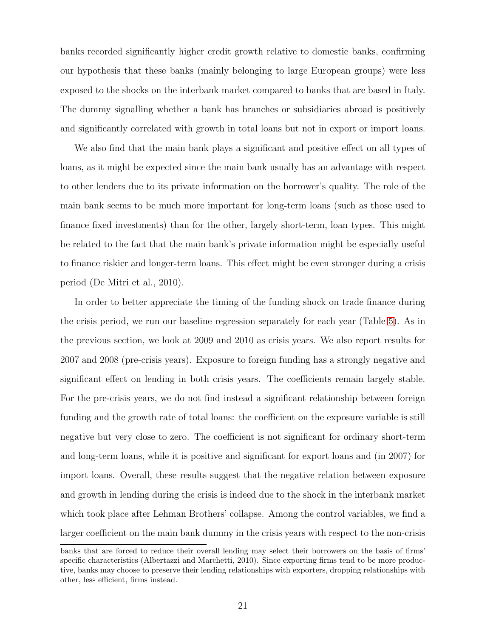banks recorded significantly higher credit growth relative to domestic banks, confirming our hypothesis that these banks (mainly belonging to large European groups) were less exposed to the shocks on the interbank market compared to banks that are based in Italy. The dummy signalling whether a bank has branches or subsidiaries abroad is positively and significantly correlated with growth in total loans but not in export or import loans.

We also find that the main bank plays a significant and positive effect on all types of loans, as it might be expected since the main bank usually has an advantage with respect to other lenders due to its private information on the borrower's quality. The role of the main bank seems to be much more important for long-term loans (such as those used to finance fixed investments) than for the other, largely short-term, loan types. This might be related to the fact that the main bank's private information might be especially useful to finance riskier and longer-term loans. This effect might be even stronger during a crisis period (De Mitri et al., 2010).

In order to better appreciate the timing of the funding shock on trade finance during the crisis period, we run our baseline regression separately for each year (Table [5\)](#page-41-0). As in the previous section, we look at 2009 and 2010 as crisis years. We also report results for 2007 and 2008 (pre-crisis years). Exposure to foreign funding has a strongly negative and significant effect on lending in both crisis years. The coefficients remain largely stable. For the pre-crisis years, we do not find instead a significant relationship between foreign funding and the growth rate of total loans: the coefficient on the exposure variable is still negative but very close to zero. The coefficient is not significant for ordinary short-term and long-term loans, while it is positive and significant for export loans and (in 2007) for import loans. Overall, these results suggest that the negative relation between exposure and growth in lending during the crisis is indeed due to the shock in the interbank market which took place after Lehman Brothers' collapse. Among the control variables, we find a larger coefficient on the main bank dummy in the crisis years with respect to the non-crisis

banks that are forced to reduce their overall lending may select their borrowers on the basis of firms' specific characteristics (Albertazzi and Marchetti, 2010). Since exporting firms tend to be more productive, banks may choose to preserve their lending relationships with exporters, dropping relationships with other, less efficient, firms instead.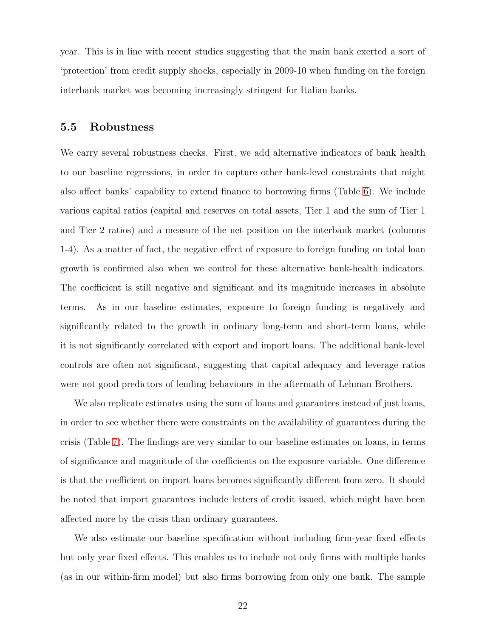year. This is in line with recent studies suggesting that the main bank exerted a sort of 'protection' from credit supply shocks, especially in 2009-10 when funding on the foreign interbank market was becoming increasingly stringent for Italian banks.

#### <span id="page-23-0"></span>**5.5 Robustness**

We carry several robustness checks. First, we add alternative indicators of bank health to our baseline regressions, in order to capture other bank-level constraints that might also affect banks' capability to extend finance to borrowing firms (Table [6\)](#page-42-0). We include various capital ratios (capital and reserves on total assets, Tier 1 and the sum of Tier 1 and Tier 2 ratios) and a measure of the net position on the interbank market (columns 1-4). As a matter of fact, the negative effect of exposure to foreign funding on total loan growth is confirmed also when we control for these alternative bank-health indicators. The coefficient is still negative and significant and its magnitude increases in absolute terms. As in our baseline estimates, exposure to foreign funding is negatively and significantly related to the growth in ordinary long-term and short-term loans, while it is not significantly correlated with export and import loans. The additional bank-level controls are often not significant, suggesting that capital adequacy and leverage ratios were not good predictors of lending behaviours in the aftermath of Lehman Brothers.

We also replicate estimates using the sum of loans and guarantees instead of just loans, in order to see whether there were constraints on the availability of guarantees during the crisis (Table [7\)](#page-43-0). The findings are very similar to our baseline estimates on loans, in terms of significance and magnitude of the coefficients on the exposure variable. One difference is that the coefficient on import loans becomes significantly different from zero. It should be noted that import guarantees include letters of credit issued, which might have been affected more by the crisis than ordinary guarantees.

We also estimate our baseline specification without including firm-year fixed effects but only year fixed effects. This enables us to include not only firms with multiple banks (as in our within-firm model) but also firms borrowing from only one bank. The sample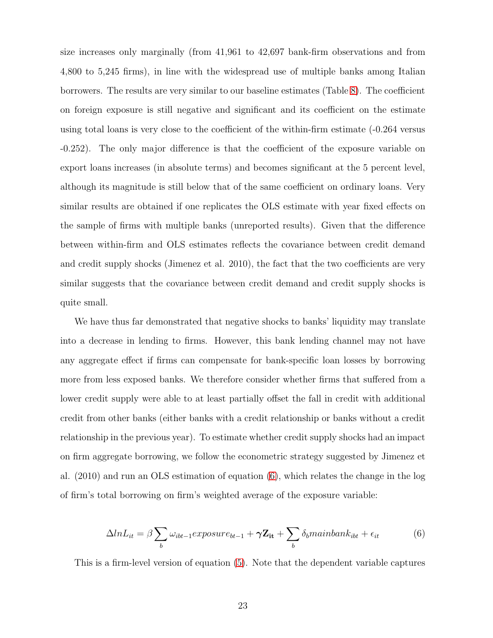size increases only marginally (from 41,961 to 42,697 bank-firm observations and from 4,800 to 5,245 firms), in line with the widespread use of multiple banks among Italian borrowers. The results are very similar to our baseline estimates (Table [8\)](#page-44-0). The coefficient on foreign exposure is still negative and significant and its coefficient on the estimate using total loans is very close to the coefficient of the within-firm estimate (-0.264 versus -0.252). The only major difference is that the coefficient of the exposure variable on export loans increases (in absolute terms) and becomes significant at the 5 percent level, although its magnitude is still below that of the same coefficient on ordinary loans. Very similar results are obtained if one replicates the OLS estimate with year fixed effects on the sample of firms with multiple banks (unreported results). Given that the difference between within-firm and OLS estimates reflects the covariance between credit demand and credit supply shocks (Jimenez et al. 2010), the fact that the two coefficients are very similar suggests that the covariance between credit demand and credit supply shocks is quite small.

We have thus far demonstrated that negative shocks to banks' liquidity may translate into a decrease in lending to firms. However, this bank lending channel may not have any aggregate effect if firms can compensate for bank-specific loan losses by borrowing more from less exposed banks. We therefore consider whether firms that suffered from a lower credit supply were able to at least partially offset the fall in credit with additional credit from other banks (either banks with a credit relationship or banks without a credit relationship in the previous year). To estimate whether credit supply shocks had an impact on firm aggregate borrowing, we follow the econometric strategy suggested by Jimenez et al. (2010) and run an OLS estimation of equation [\(6\)](#page-24-0), which relates the change in the log of firm's total borrowing on firm's weighted average of the exposure variable:

<span id="page-24-0"></span>
$$
\Delta ln L_{it} = \beta \sum_{b} \omega_{ibt-1} exposure_{bt-1} + \gamma \mathbf{Z}_{it} + \sum_{b} \delta_b main bank_{ibt} + \epsilon_{it}
$$
(6)

This is a firm-level version of equation [\(5\)](#page-19-1). Note that the dependent variable captures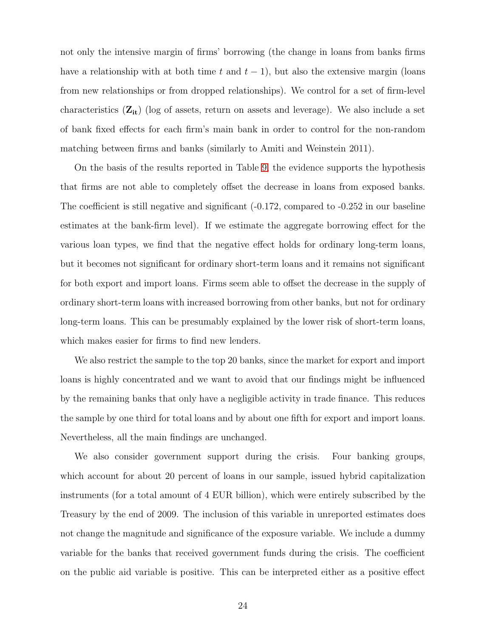not only the intensive margin of firms' borrowing (the change in loans from banks firms have a relationship with at both time t and  $t - 1$ ), but also the extensive margin (loans from new relationships or from dropped relationships). We control for a set of firm-level characteristics (**Zit**) (log of assets, return on assets and leverage). We also include a set of bank fixed effects for each firm's main bank in order to control for the non-random matching between firms and banks (similarly to Amiti and Weinstein 2011).

On the basis of the results reported in Table [9,](#page-45-0) the evidence supports the hypothesis that firms are not able to completely offset the decrease in loans from exposed banks. The coefficient is still negative and significant  $(-0.172,$  compared to  $-0.252$  in our baseline estimates at the bank-firm level). If we estimate the aggregate borrowing effect for the various loan types, we find that the negative effect holds for ordinary long-term loans, but it becomes not significant for ordinary short-term loans and it remains not significant for both export and import loans. Firms seem able to offset the decrease in the supply of ordinary short-term loans with increased borrowing from other banks, but not for ordinary long-term loans. This can be presumably explained by the lower risk of short-term loans, which makes easier for firms to find new lenders.

We also restrict the sample to the top 20 banks, since the market for export and import loans is highly concentrated and we want to avoid that our findings might be influenced by the remaining banks that only have a negligible activity in trade finance. This reduces the sample by one third for total loans and by about one fifth for export and import loans. Nevertheless, all the main findings are unchanged.

We also consider government support during the crisis. Four banking groups, which account for about 20 percent of loans in our sample, issued hybrid capitalization instruments (for a total amount of 4 EUR billion), which were entirely subscribed by the Treasury by the end of 2009. The inclusion of this variable in unreported estimates does not change the magnitude and significance of the exposure variable. We include a dummy variable for the banks that received government funds during the crisis. The coefficient on the public aid variable is positive. This can be interpreted either as a positive effect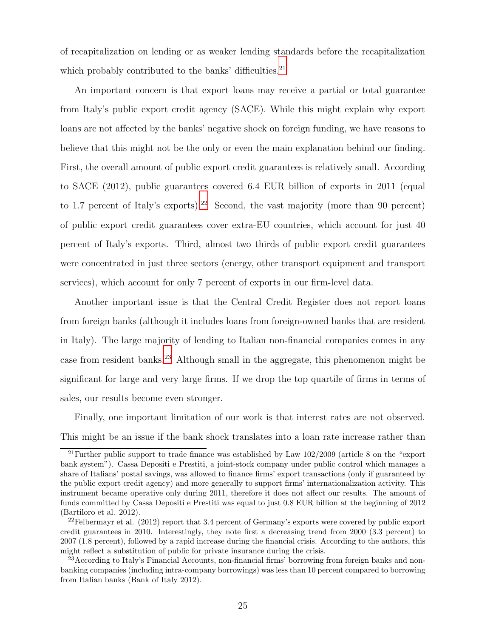of recapitalization on lending or as weaker lending standards before the recapitalization which probably contributed to the banks' difficulties. $^{21}$  $^{21}$  $^{21}$ 

An important concern is that export loans may receive a partial or total guarantee from Italy's public export credit agency (SACE). While this might explain why export loans are not affected by the banks' negative shock on foreign funding, we have reasons to believe that this might not be the only or even the main explanation behind our finding. First, the overall amount of public export credit guarantees is relatively small. According to SACE (2012), public guarantees covered 6.4 EUR billion of exports in 2011 (equal to 1.7 percent of Italy's exports).<sup>[22](#page-26-1)</sup> Second, the vast majority (more than 90 percent) of public export credit guarantees cover extra-EU countries, which account for just 40 percent of Italy's exports. Third, almost two thirds of public export credit guarantees were concentrated in just three sectors (energy, other transport equipment and transport services), which account for only 7 percent of exports in our firm-level data.

Another important issue is that the Central Credit Register does not report loans from foreign banks (although it includes loans from foreign-owned banks that are resident in Italy). The large majority of lending to Italian non-financial companies comes in any case from resident banks.[23](#page-26-2) Although small in the aggregate, this phenomenon might be significant for large and very large firms. If we drop the top quartile of firms in terms of sales, our results become even stronger.

Finally, one important limitation of our work is that interest rates are not observed. This might be an issue if the bank shock translates into a loan rate increase rather than

<span id="page-26-0"></span><sup>&</sup>lt;sup>21</sup>Further public support to trade finance was established by Law  $102/2009$  (article 8 on the "export" bank system"). Cassa Depositi e Prestiti, a joint-stock company under public control which manages a share of Italians' postal savings, was allowed to finance firms' export transactions (only if guaranteed by the public export credit agency) and more generally to support firms' internationalization activity. This instrument became operative only during 2011, therefore it does not affect our results. The amount of funds committed by Cassa Depositi e Prestiti was equal to just 0.8 EUR billion at the beginning of 2012 (Bartiloro et al. 2012).

<span id="page-26-1"></span><sup>&</sup>lt;sup>22</sup>Felbermayr et al.  $(2012)$  report that 3.4 percent of Germany's exports were covered by public export credit guarantees in 2010. Interestingly, they note first a decreasing trend from 2000 (3.3 percent) to 2007 (1.8 percent), followed by a rapid increase during the financial crisis. According to the authors, this might reflect a substitution of public for private insurance during the crisis.

<span id="page-26-2"></span><sup>&</sup>lt;sup>23</sup> According to Italy's Financial Accounts, non-financial firms' borrowing from foreign banks and nonbanking companies (including intra-company borrowings) was less than 10 percent compared to borrowing from Italian banks (Bank of Italy 2012).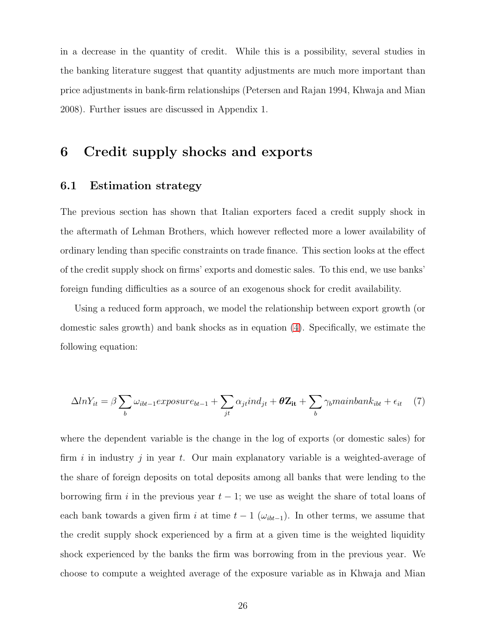in a decrease in the quantity of credit. While this is a possibility, several studies in the banking literature suggest that quantity adjustments are much more important than price adjustments in bank-firm relationships (Petersen and Rajan 1994, Khwaja and Mian 2008). Further issues are discussed in Appendix 1.

## <span id="page-27-0"></span>**6 Credit supply shocks and exports**

### **6.1 Estimation strategy**

The previous section has shown that Italian exporters faced a credit supply shock in the aftermath of Lehman Brothers, which however reflected more a lower availability of ordinary lending than specific constraints on trade finance. This section looks at the effect of the credit supply shock on firms' exports and domestic sales. To this end, we use banks' foreign funding difficulties as a source of an exogenous shock for credit availability.

Using a reduced form approach, we model the relationship between export growth (or domestic sales growth) and bank shocks as in equation [\(4\)](#page-17-3). Specifically, we estimate the following equation:

<span id="page-27-1"></span>
$$
\Delta ln Y_{it} = \beta \sum_{b} \omega_{ibt-1} exposure_{bt-1} + \sum_{jt} \alpha_{jt} ind_{jt} + \theta \mathbf{Z_{it}} + \sum_{b} \gamma_{b} main bank_{ibt} + \epsilon_{it} \tag{7}
$$

where the dependent variable is the change in the log of exports (or domestic sales) for firm i in industry j in year t. Our main explanatory variable is a weighted-average of the share of foreign deposits on total deposits among all banks that were lending to the borrowing firm i in the previous year  $t - 1$ ; we use as weight the share of total loans of each bank towards a given firm i at time  $t - 1$  ( $\omega_{ibt-1}$ ). In other terms, we assume that the credit supply shock experienced by a firm at a given time is the weighted liquidity shock experienced by the banks the firm was borrowing from in the previous year. We choose to compute a weighted average of the exposure variable as in Khwaja and Mian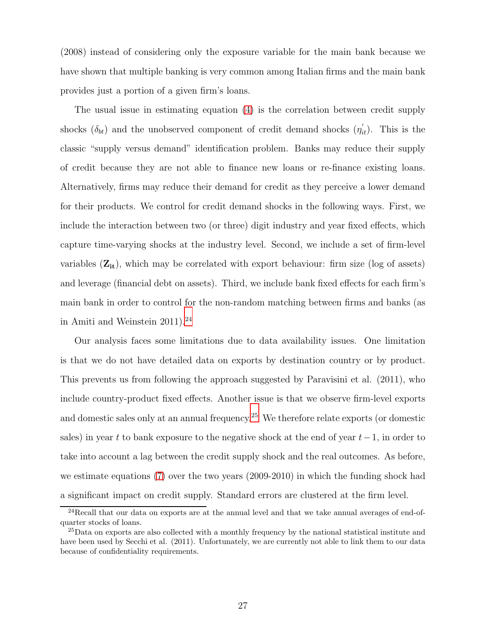(2008) instead of considering only the exposure variable for the main bank because we have shown that multiple banking is very common among Italian firms and the main bank provides just a portion of a given firm's loans.

The usual issue in estimating equation [\(4\)](#page-17-3) is the correlation between credit supply shocks  $(\delta_{bt})$  and the unobserved component of credit demand shocks  $(\eta'_{it})$ . This is the classic "supply versus demand" identification problem. Banks may reduce their supply of credit because they are not able to finance new loans or re-finance existing loans. Alternatively, firms may reduce their demand for credit as they perceive a lower demand for their products. We control for credit demand shocks in the following ways. First, we include the interaction between two (or three) digit industry and year fixed effects, which capture time-varying shocks at the industry level. Second, we include a set of firm-level variables (**Zit**), which may be correlated with export behaviour: firm size (log of assets) and leverage (financial debt on assets). Third, we include bank fixed effects for each firm's main bank in order to control for the non-random matching between firms and banks (as in Amiti and Weinstein  $2011$ .<sup>[24](#page-28-0)</sup>

Our analysis faces some limitations due to data availability issues. One limitation is that we do not have detailed data on exports by destination country or by product. This prevents us from following the approach suggested by Paravisini et al. (2011), who include country-product fixed effects. Another issue is that we observe firm-level exports and domestic sales only at an annual frequency.[25](#page-28-1) We therefore relate exports (or domestic sales) in year t to bank exposure to the negative shock at the end of year  $t-1$ , in order to take into account a lag between the credit supply shock and the real outcomes. As before, we estimate equations [\(7\)](#page-27-1) over the two years (2009-2010) in which the funding shock had a significant impact on credit supply. Standard errors are clustered at the firm level.

 $24$ Recall that our data on exports are at the annual level and that we take annual averages of end-ofquarter stocks of loans.

<span id="page-28-1"></span><span id="page-28-0"></span> $^{25}$ Data on exports are also collected with a monthly frequency by the national statistical institute and have been used by Secchi et al. (2011). Unfortunately, we are currently not able to link them to our data because of confidentiality requirements.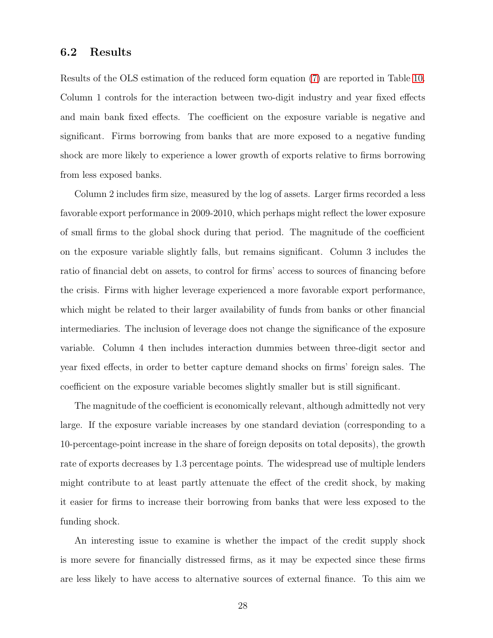#### **6.2 Results**

Results of the OLS estimation of the reduced form equation [\(7\)](#page-27-1) are reported in Table [10.](#page-46-0) Column 1 controls for the interaction between two-digit industry and year fixed effects and main bank fixed effects. The coefficient on the exposure variable is negative and significant. Firms borrowing from banks that are more exposed to a negative funding shock are more likely to experience a lower growth of exports relative to firms borrowing from less exposed banks.

Column 2 includes firm size, measured by the log of assets. Larger firms recorded a less favorable export performance in 2009-2010, which perhaps might reflect the lower exposure of small firms to the global shock during that period. The magnitude of the coefficient on the exposure variable slightly falls, but remains significant. Column 3 includes the ratio of financial debt on assets, to control for firms' access to sources of financing before the crisis. Firms with higher leverage experienced a more favorable export performance, which might be related to their larger availability of funds from banks or other financial intermediaries. The inclusion of leverage does not change the significance of the exposure variable. Column 4 then includes interaction dummies between three-digit sector and year fixed effects, in order to better capture demand shocks on firms' foreign sales. The coefficient on the exposure variable becomes slightly smaller but is still significant.

The magnitude of the coefficient is economically relevant, although admittedly not very large. If the exposure variable increases by one standard deviation (corresponding to a 10-percentage-point increase in the share of foreign deposits on total deposits), the growth rate of exports decreases by 1.3 percentage points. The widespread use of multiple lenders might contribute to at least partly attenuate the effect of the credit shock, by making it easier for firms to increase their borrowing from banks that were less exposed to the funding shock.

An interesting issue to examine is whether the impact of the credit supply shock is more severe for financially distressed firms, as it may be expected since these firms are less likely to have access to alternative sources of external finance. To this aim we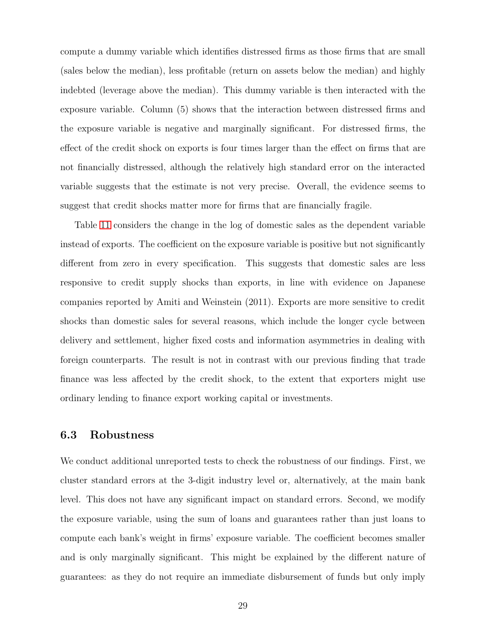compute a dummy variable which identifies distressed firms as those firms that are small (sales below the median), less profitable (return on assets below the median) and highly indebted (leverage above the median). This dummy variable is then interacted with the exposure variable. Column (5) shows that the interaction between distressed firms and the exposure variable is negative and marginally significant. For distressed firms, the effect of the credit shock on exports is four times larger than the effect on firms that are not financially distressed, although the relatively high standard error on the interacted variable suggests that the estimate is not very precise. Overall, the evidence seems to suggest that credit shocks matter more for firms that are financially fragile.

Table [11](#page-47-0) considers the change in the log of domestic sales as the dependent variable instead of exports. The coefficient on the exposure variable is positive but not significantly different from zero in every specification. This suggests that domestic sales are less responsive to credit supply shocks than exports, in line with evidence on Japanese companies reported by Amiti and Weinstein (2011). Exports are more sensitive to credit shocks than domestic sales for several reasons, which include the longer cycle between delivery and settlement, higher fixed costs and information asymmetries in dealing with foreign counterparts. The result is not in contrast with our previous finding that trade finance was less affected by the credit shock, to the extent that exporters might use ordinary lending to finance export working capital or investments.

#### **6.3 Robustness**

We conduct additional unreported tests to check the robustness of our findings. First, we cluster standard errors at the 3-digit industry level or, alternatively, at the main bank level. This does not have any significant impact on standard errors. Second, we modify the exposure variable, using the sum of loans and guarantees rather than just loans to compute each bank's weight in firms' exposure variable. The coefficient becomes smaller and is only marginally significant. This might be explained by the different nature of guarantees: as they do not require an immediate disbursement of funds but only imply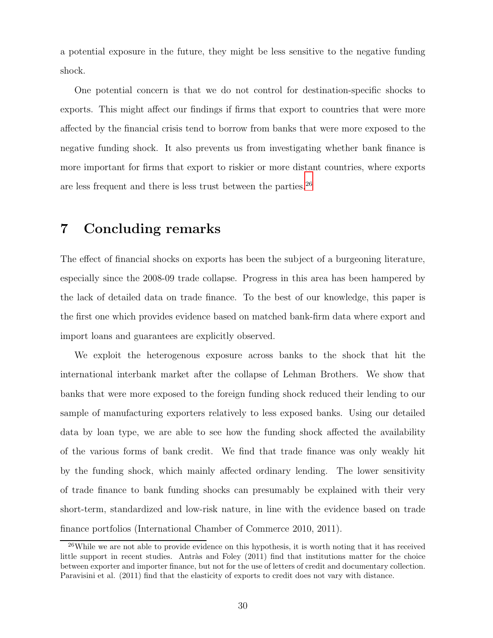a potential exposure in the future, they might be less sensitive to the negative funding shock.

One potential concern is that we do not control for destination-specific shocks to exports. This might affect our findings if firms that export to countries that were more affected by the financial crisis tend to borrow from banks that were more exposed to the negative funding shock. It also prevents us from investigating whether bank finance is more important for firms that export to riskier or more distant countries, where exports are less frequent and there is less trust between the parties.[26](#page-31-1)

# <span id="page-31-0"></span>**7 Concluding remarks**

The effect of financial shocks on exports has been the subject of a burgeoning literature, especially since the 2008-09 trade collapse. Progress in this area has been hampered by the lack of detailed data on trade finance. To the best of our knowledge, this paper is the first one which provides evidence based on matched bank-firm data where export and import loans and guarantees are explicitly observed.

We exploit the heterogenous exposure across banks to the shock that hit the international interbank market after the collapse of Lehman Brothers. We show that banks that were more exposed to the foreign funding shock reduced their lending to our sample of manufacturing exporters relatively to less exposed banks. Using our detailed data by loan type, we are able to see how the funding shock affected the availability of the various forms of bank credit. We find that trade finance was only weakly hit by the funding shock, which mainly affected ordinary lending. The lower sensitivity of trade finance to bank funding shocks can presumably be explained with their very short-term, standardized and low-risk nature, in line with the evidence based on trade finance portfolios (International Chamber of Commerce 2010, 2011).

<span id="page-31-1"></span><sup>&</sup>lt;sup>26</sup>While we are not able to provide evidence on this hypothesis, it is worth noting that it has received little support in recent studies. Antràs and Foley  $(2011)$  find that institutions matter for the choice between exporter and importer finance, but not for the use of letters of credit and documentary collection. Paravisini et al. (2011) find that the elasticity of exports to credit does not vary with distance.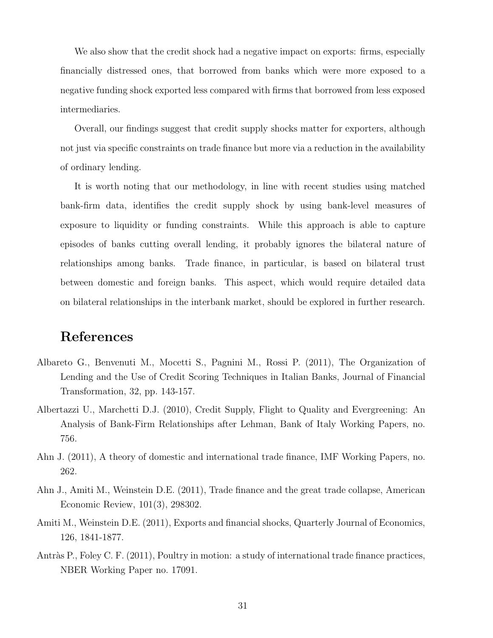We also show that the credit shock had a negative impact on exports: firms, especially financially distressed ones, that borrowed from banks which were more exposed to a negative funding shock exported less compared with firms that borrowed from less exposed intermediaries.

Overall, our findings suggest that credit supply shocks matter for exporters, although not just via specific constraints on trade finance but more via a reduction in the availability of ordinary lending.

It is worth noting that our methodology, in line with recent studies using matched bank-firm data, identifies the credit supply shock by using bank-level measures of exposure to liquidity or funding constraints. While this approach is able to capture episodes of banks cutting overall lending, it probably ignores the bilateral nature of relationships among banks. Trade finance, in particular, is based on bilateral trust between domestic and foreign banks. This aspect, which would require detailed data on bilateral relationships in the interbank market, should be explored in further research.

# **References**

- Albareto G., Benvenuti M., Mocetti S., Pagnini M., Rossi P. (2011), The Organization of Lending and the Use of Credit Scoring Techniques in Italian Banks, Journal of Financial Transformation, 32, pp. 143-157.
- Albertazzi U., Marchetti D.J. (2010), Credit Supply, Flight to Quality and Evergreening: An Analysis of Bank-Firm Relationships after Lehman, Bank of Italy Working Papers, no. 756.
- Ahn J. (2011), A theory of domestic and international trade finance, IMF Working Papers, no. 262.
- Ahn J., Amiti M., Weinstein D.E. (2011), Trade finance and the great trade collapse, American Economic Review, 101(3), 298302.
- Amiti M., Weinstein D.E. (2011), Exports and financial shocks, Quarterly Journal of Economics, 126, 1841-1877.
- Antràs P., Foley C. F. (2011), Poultry in motion: a study of international trade finance practices, NBER Working Paper no. 17091.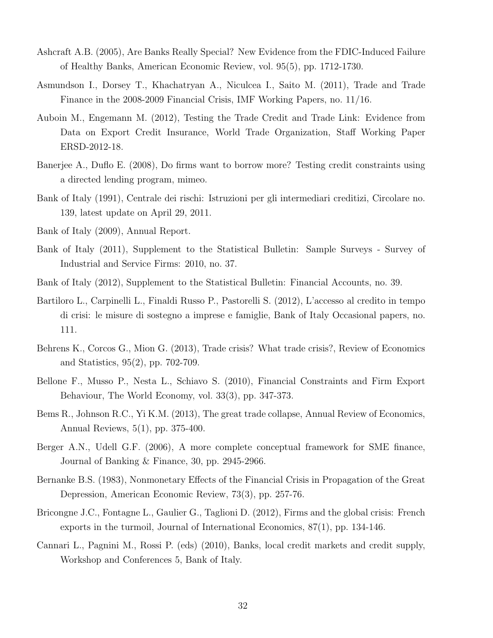- Ashcraft A.B. (2005), Are Banks Really Special? New Evidence from the FDIC-Induced Failure of Healthy Banks, American Economic Review, vol. 95(5), pp. 1712-1730.
- Asmundson I., Dorsey T., Khachatryan A., Niculcea I., Saito M. (2011), Trade and Trade Finance in the 2008-2009 Financial Crisis, IMF Working Papers, no. 11/16.
- Auboin M., Engemann M. (2012), Testing the Trade Credit and Trade Link: Evidence from Data on Export Credit Insurance, World Trade Organization, Staff Working Paper ERSD-2012-18.
- Banerjee A., Duflo E. (2008), Do firms want to borrow more? Testing credit constraints using a directed lending program, mimeo.
- Bank of Italy (1991), Centrale dei rischi: Istruzioni per gli intermediari creditizi, Circolare no. 139, latest update on April 29, 2011.
- Bank of Italy (2009), Annual Report.
- Bank of Italy (2011), Supplement to the Statistical Bulletin: Sample Surveys Survey of Industrial and Service Firms: 2010, no. 37.
- Bank of Italy (2012), Supplement to the Statistical Bulletin: Financial Accounts, no. 39.
- Bartiloro L., Carpinelli L., Finaldi Russo P., Pastorelli S. (2012), L'accesso al credito in tempo di crisi: le misure di sostegno a imprese e famiglie, Bank of Italy Occasional papers, no. 111.
- Behrens K., Corcos G., Mion G. (2013), Trade crisis? What trade crisis?, Review of Economics and Statistics, 95(2), pp. 702-709.
- Bellone F., Musso P., Nesta L., Schiavo S. (2010), Financial Constraints and Firm Export Behaviour, The World Economy, vol. 33(3), pp. 347-373.
- Bems R., Johnson R.C., Yi K.M. (2013), The great trade collapse, Annual Review of Economics, Annual Reviews, 5(1), pp. 375-400.
- Berger A.N., Udell G.F. (2006), A more complete conceptual framework for SME finance, Journal of Banking & Finance, 30, pp. 2945-2966.
- Bernanke B.S. (1983), Nonmonetary Effects of the Financial Crisis in Propagation of the Great Depression, American Economic Review, 73(3), pp. 257-76.
- Bricongne J.C., Fontagne L., Gaulier G., Taglioni D. (2012), Firms and the global crisis: French exports in the turmoil, Journal of International Economics, 87(1), pp. 134-146.
- Cannari L., Pagnini M., Rossi P. (eds) (2010), Banks, local credit markets and credit supply, Workshop and Conferences 5, Bank of Italy.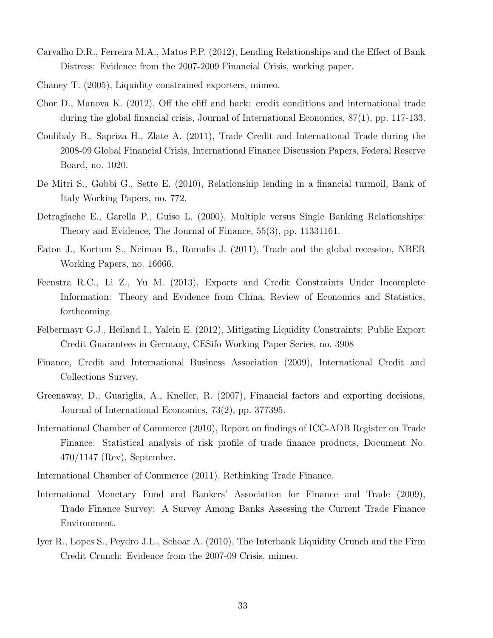- Carvalho D.R., Ferreira M.A., Matos P.P. (2012), Lending Relationships and the Effect of Bank Distress: Evidence from the 2007-2009 Financial Crisis, working paper.
- Chaney T. (2005), Liquidity constrained exporters, mimeo.
- Chor D., Manova K. (2012), Off the cliff and back: credit conditions and international trade during the global financial crisis, Journal of International Economics, 87(1), pp. 117-133.
- Coulibaly B., Sapriza H., Zlate A. (2011), Trade Credit and International Trade during the 2008-09 Global Financial Crisis, International Finance Discussion Papers, Federal Reserve Board, no. 1020.
- De Mitri S., Gobbi G., Sette E. (2010), Relationship lending in a financial turmoil, Bank of Italy Working Papers, no. 772.
- Detragiache E., Garella P., Guiso L. (2000), Multiple versus Single Banking Relationships: Theory and Evidence, The Journal of Finance, 55(3), pp. 11331161.
- Eaton J., Kortum S., Neiman B., Romalis J. (2011), Trade and the global recession, NBER Working Papers, no. 16666.
- Feenstra R.C., Li Z., Yu M. (2013), Exports and Credit Constraints Under Incomplete Information: Theory and Evidence from China, Review of Economics and Statistics, forthcoming.
- Felbermayr G.J., Heiland I., Yalcin E. (2012), Mitigating Liquidity Constraints: Public Export Credit Guarantees in Germany, CESifo Working Paper Series, no. 3908
- Finance, Credit and International Business Association (2009), International Credit and Collections Survey.
- Greenaway, D., Guariglia, A., Kneller, R. (2007), Financial factors and exporting decisions, Journal of International Economics, 73(2), pp. 377395.
- International Chamber of Commerce (2010), Report on findings of ICC-ADB Register on Trade Finance: Statistical analysis of risk profile of trade finance products, Document No. 470/1147 (Rev), September.
- International Chamber of Commerce (2011), Rethinking Trade Finance.
- International Monetary Fund and Bankers' Association for Finance and Trade (2009), Trade Finance Survey: A Survey Among Banks Assessing the Current Trade Finance Environment.
- Iyer R., Lopes S., Peydro J.L., Schoar A. (2010), The Interbank Liquidity Crunch and the Firm Credit Crunch: Evidence from the 2007-09 Crisis, mimeo.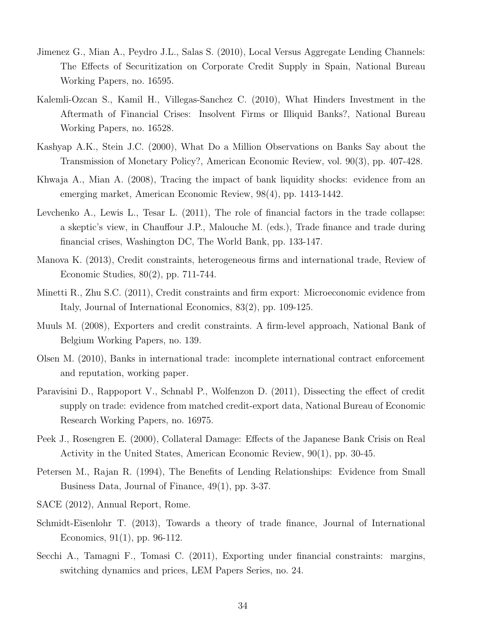- Jimenez G., Mian A., Peydro J.L., Salas S. (2010), Local Versus Aggregate Lending Channels: The Effects of Securitization on Corporate Credit Supply in Spain, National Bureau Working Papers, no. 16595.
- Kalemli-Ozcan S., Kamil H., Villegas-Sanchez C. (2010), What Hinders Investment in the Aftermath of Financial Crises: Insolvent Firms or Illiquid Banks?, National Bureau Working Papers, no. 16528.
- Kashyap A.K., Stein J.C. (2000), What Do a Million Observations on Banks Say about the Transmission of Monetary Policy?, American Economic Review, vol. 90(3), pp. 407-428.
- Khwaja A., Mian A. (2008), Tracing the impact of bank liquidity shocks: evidence from an emerging market, American Economic Review, 98(4), pp. 1413-1442.
- Levchenko A., Lewis L., Tesar L. (2011), The role of financial factors in the trade collapse: a skeptic's view, in Chauffour J.P., Malouche M. (eds.), Trade finance and trade during financial crises, Washington DC, The World Bank, pp. 133-147.
- Manova K. (2013), Credit constraints, heterogeneous firms and international trade, Review of Economic Studies, 80(2), pp. 711-744.
- Minetti R., Zhu S.C. (2011), Credit constraints and firm export: Microeconomic evidence from Italy, Journal of International Economics, 83(2), pp. 109-125.
- Muuls M. (2008), Exporters and credit constraints. A firm-level approach, National Bank of Belgium Working Papers, no. 139.
- Olsen M. (2010), Banks in international trade: incomplete international contract enforcement and reputation, working paper.
- Paravisini D., Rappoport V., Schnabl P., Wolfenzon D. (2011), Dissecting the effect of credit supply on trade: evidence from matched credit-export data, National Bureau of Economic Research Working Papers, no. 16975.
- Peek J., Rosengren E. (2000), Collateral Damage: Effects of the Japanese Bank Crisis on Real Activity in the United States, American Economic Review, 90(1), pp. 30-45.
- Petersen M., Rajan R. (1994), The Benefits of Lending Relationships: Evidence from Small Business Data, Journal of Finance, 49(1), pp. 3-37.
- SACE (2012), Annual Report, Rome.
- Schmidt-Eisenlohr T. (2013), Towards a theory of trade finance, Journal of International Economics, 91(1), pp. 96-112.
- Secchi A., Tamagni F., Tomasi C. (2011), Exporting under financial constraints: margins, switching dynamics and prices, LEM Papers Series, no. 24.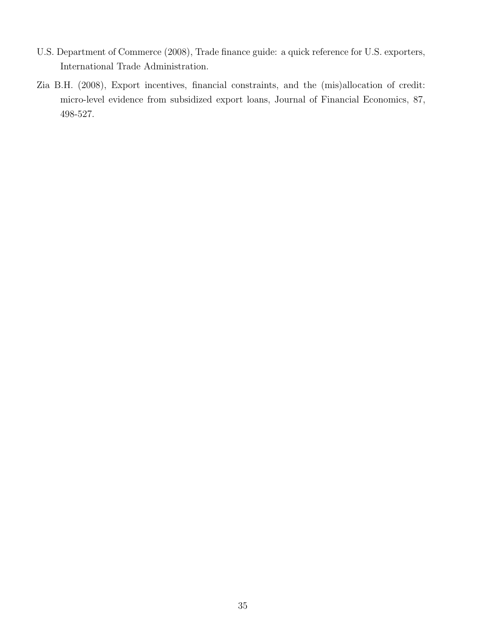- U.S. Department of Commerce (2008), Trade finance guide: a quick reference for U.S. exporters, International Trade Administration.
- Zia B.H. (2008), Export incentives, financial constraints, and the (mis)allocation of credit: micro-level evidence from subsidized export loans, Journal of Financial Economics, 87, 498-527.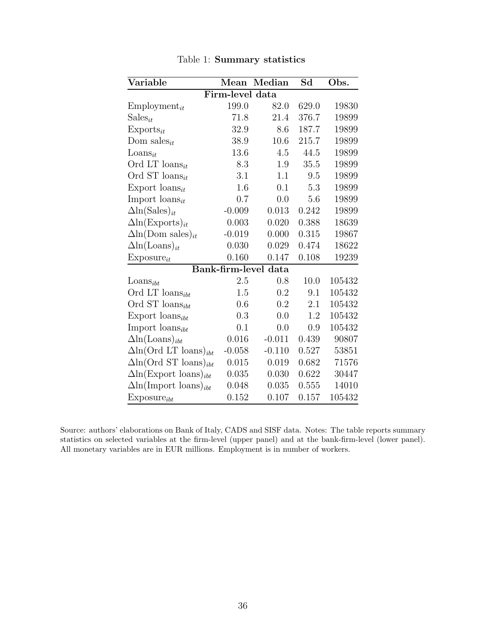| Variable                                 | Mean            | Median               | Sd    | Obs.   |  |  |  |  |  |  |
|------------------------------------------|-----------------|----------------------|-------|--------|--|--|--|--|--|--|
|                                          | Firm-level data |                      |       |        |  |  |  |  |  |  |
| $Employment_{it}$                        | 199.0           | 82.0                 | 629.0 | 19830  |  |  |  |  |  |  |
| $Sales_{it}$                             | 71.8            | 21.4                 | 376.7 | 19899  |  |  |  |  |  |  |
| $Exports_{it}$                           | 32.9            | 8.6                  | 187.7 | 19899  |  |  |  |  |  |  |
| Dom sales <sub>it</sub>                  | 38.9            | 10.6                 | 215.7 | 19899  |  |  |  |  |  |  |
| $\text{Loans}_{it}$                      | 13.6            | 4.5                  | 44.5  | 19899  |  |  |  |  |  |  |
| Ord LT $\text{loans}_{it}$               | 8.3             | 1.9                  | 35.5  | 19899  |  |  |  |  |  |  |
| Ord ST loans <sub>it</sub>               | 3.1             | 1.1                  | 9.5   | 19899  |  |  |  |  |  |  |
| Export loans <sub>it</sub>               | 1.6             | 0.1                  | 5.3   | 19899  |  |  |  |  |  |  |
| Import $\text{loans}_{it}$               | 0.7             | 0.0                  | 5.6   | 19899  |  |  |  |  |  |  |
| $\Delta \ln(Sales)_{it}$                 | $-0.009$        | 0.013                | 0.242 | 19899  |  |  |  |  |  |  |
| $\Delta \ln(\text{Exports})_{it}$        | 0.003           | 0.020                | 0.388 | 18639  |  |  |  |  |  |  |
| $\Delta \ln(Dom\; \text{sales})_{it}$    | $-0.019$        | 0.000                | 0.315 | 19867  |  |  |  |  |  |  |
| $\Delta \ln(\text{Loans})_{it}$          | 0.030           | 0.029                | 0.474 | 18622  |  |  |  |  |  |  |
| $Expasure_{it}$                          | 0.160           | 0.147                | 0.108 | 19239  |  |  |  |  |  |  |
|                                          |                 | Bank-firm-level data |       |        |  |  |  |  |  |  |
| $\text{Loans}_{ibt}$                     | 2.5             | 0.8                  | 10.0  | 105432 |  |  |  |  |  |  |
| Ord LT $\text{loans}_{ibt}$              | 1.5             | 0.2                  | 9.1   | 105432 |  |  |  |  |  |  |
| Ord ST $\text{loans}_{ibt}$              | 0.6             | 0.2                  | 2.1   | 105432 |  |  |  |  |  |  |
| Export loans <sub>ibt</sub>              | 0.3             | 0.0                  | 1.2   | 105432 |  |  |  |  |  |  |
| Import $\text{loans}_{ibt}$              | 0.1             | 0.0                  | 0.9   | 105432 |  |  |  |  |  |  |
| $\Delta \ln(\text{Loans})_{ibt}$         | 0.016           | $-0.011$             | 0.439 | 90807  |  |  |  |  |  |  |
| $\Delta$ ln(Ord LT loans) <sub>ibt</sub> | $-0.058$        | $-0.110$             | 0.527 | 53851  |  |  |  |  |  |  |
| $\Delta$ ln(Ord ST loans) <sub>ibt</sub> | 0.015           | 0.019                | 0.682 | 71576  |  |  |  |  |  |  |
| $\Delta \ln(\text{Export loans})_{ibt}$  | 0.035           | 0.030                | 0.622 | 30447  |  |  |  |  |  |  |
| $\Delta \ln(\text{Import loans})_{ibt}$  | 0.048           | 0.035                | 0.555 | 14010  |  |  |  |  |  |  |
| $Expasure_{ibt}$                         | 0.152           | 0.107                | 0.157 | 105432 |  |  |  |  |  |  |

<span id="page-37-0"></span>Table 1: **Summary statistics**

Source: authors' elaborations on Bank of Italy, CADS and SISF data. Notes: The table reports summary statistics on selected variables at the firm-level (upper panel) and at the bank-firm-level (lower panel). All monetary variables are in EUR millions. Employment is in number of workers.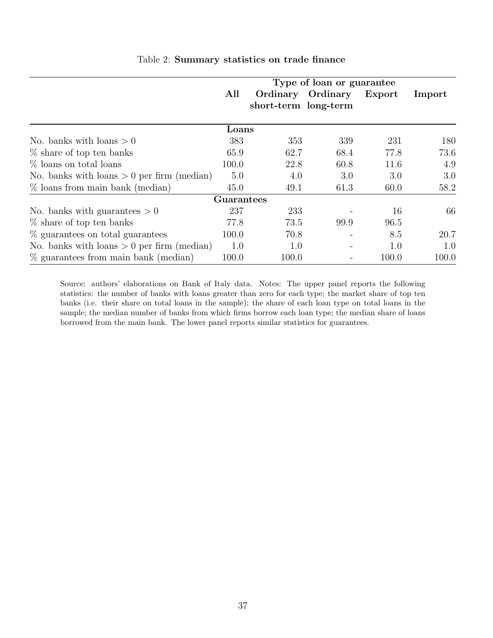|                                              | Type of loan or guarantee |                      |                          |        |        |  |  |
|----------------------------------------------|---------------------------|----------------------|--------------------------|--------|--------|--|--|
|                                              | All                       |                      | Ordinary Ordinary        | Export | Import |  |  |
|                                              |                           | short-term long-term |                          |        |        |  |  |
|                                              | Loans                     |                      |                          |        |        |  |  |
| No. banks with loans $> 0$                   | 383                       | 353                  | 339                      | 231    | 180    |  |  |
| $\%$ share of top ten banks                  | 65.9                      | 62.7                 | 68.4                     | 77.8   | 73.6   |  |  |
| $%$ loans on total loans                     | 100.0                     | 22.8                 | 60.8                     | 11.6   | 4.9    |  |  |
| No. banks with loans $> 0$ per firm (median) | 5.0                       | 4.0                  | 3.0                      | 3.0    | 3.0    |  |  |
| $\%$ loans from main bank (median)           | 45.0                      | 49.1                 | 61.3                     | 60.0   | 58.2   |  |  |
|                                              | <b>Guarantees</b>         |                      |                          |        |        |  |  |
| No. banks with guarantees $> 0$              | 237                       | 233                  |                          | 16     | 66     |  |  |
| $\%$ share of top ten banks                  | 77.8                      | 73.5                 | 99.9                     | 96.5   |        |  |  |
| % guarantees on total guarantees             | 100.0                     | 70.8                 | $\overline{\phantom{a}}$ | 8.5    | 20.7   |  |  |
| No. banks with loans $> 0$ per firm (median) | 1.0                       | 1.0                  |                          | 1.0    | 1.0    |  |  |
| $\%$ guarantees from main bank (median)      | 100.0                     | 100.0                |                          | 100.0  | 100.0  |  |  |

#### <span id="page-38-0"></span>Table 2: **Summary statistics on trade finance**

Source: authors' elaborations on Bank of Italy data. Notes: The upper panel reports the following statistics: the number of banks with loans greater than zero for each type; the market share of top ten banks (i.e. their share on total loans in the sample); the share of each loan type on total loans in the sample; the median number of banks from which firms borrow each loan type; the median share of loans borrowed from the main bank. The lower panel reports similar statistics for guarantees.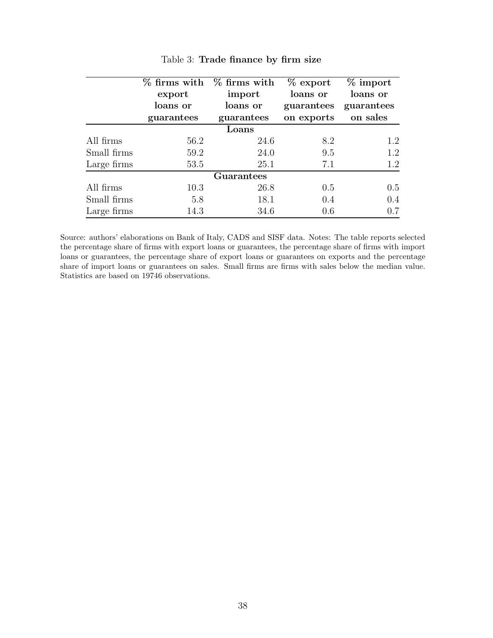|             |            | $\%$ firms with $\%$ firms with | $%$ export | $%$ import |  |  |  |  |
|-------------|------------|---------------------------------|------------|------------|--|--|--|--|
|             | export     | import                          | loans or   | loans or   |  |  |  |  |
|             | loans or   | loans or                        | guarantees | guarantees |  |  |  |  |
|             | guarantees | guarantees                      | on exports | on sales   |  |  |  |  |
|             | Loans      |                                 |            |            |  |  |  |  |
| All firms   | 56.2       | 24.6                            | 8.2        | 1.2        |  |  |  |  |
| Small firms | 59.2       | 24.0                            | 9.5        | 1.2        |  |  |  |  |
| Large firms | 53.5       | 25.1                            | 7.1        | 1.2        |  |  |  |  |
|             |            | Guarantees                      |            |            |  |  |  |  |
| All firms   | 10.3       | 26.8                            | 0.5        | 0.5        |  |  |  |  |
| Small firms | 5.8        | 18.1                            | 0.4        | 0.4        |  |  |  |  |
| Large firms | 14.3       | 34.6                            | 0.6        | 0.7        |  |  |  |  |

<span id="page-39-0"></span>

Source: authors' elaborations on Bank of Italy, CADS and SISF data. Notes: The table reports selected the percentage share of firms with export loans or guarantees, the percentage share of firms with import loans or guarantees, the percentage share of export loans or guarantees on exports and the percentage share of import loans or guarantees on sales. Small firms are firms with sales below the median value. Statistics are based on 19746 observations.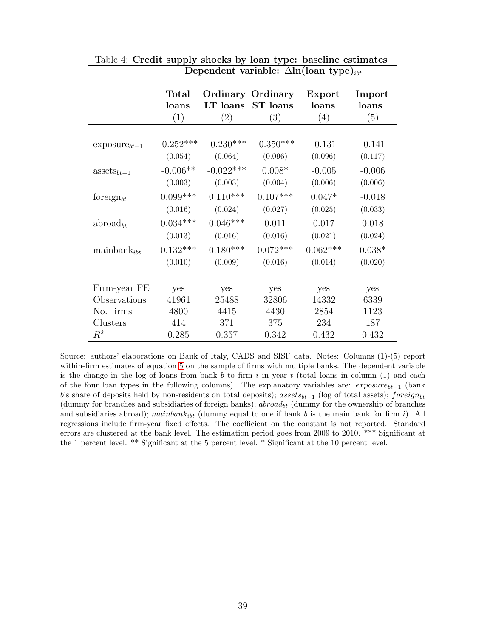|                         | <b>Total</b><br>loans<br>(1) | LT loans<br>$\left( 2\right)$ | <b>Ordinary Ordinary</b><br><b>ST</b> loans<br>$\left( 3\right)$ | Export<br>loans<br>$\left(4\right)$ | Import<br>loans<br>(5) |
|-------------------------|------------------------------|-------------------------------|------------------------------------------------------------------|-------------------------------------|------------------------|
|                         |                              |                               |                                                                  |                                     |                        |
| $exposure_{bt-1}$       | $-0.252***$                  | $-0.230***$                   | $-0.350***$                                                      | $-0.131$                            | $-0.141$               |
|                         | (0.054)                      | (0.064)                       | (0.096)                                                          | (0.096)                             | (0.117)                |
| $\text{asserts}_{bt-1}$ | $-0.006**$                   | $-0.022***$                   | $0.008*$                                                         | $-0.005$                            | $-0.006$               |
|                         | (0.003)                      | (0.003)                       | (0.004)                                                          | (0.006)                             | (0.006)                |
| foreign $_{bt}$         | $0.099***$                   | $0.110***$                    | $0.107***$                                                       | $0.047*$                            | $-0.018$               |
|                         | (0.016)                      | (0.024)                       | (0.027)                                                          | (0.025)                             | (0.033)                |
| abroad <sub>bt</sub>    | $0.034***$                   | $0.046***$                    | 0.011                                                            | 0.017                               | 0.018                  |
|                         | (0.013)                      | (0.016)                       | (0.016)                                                          | (0.021)                             | (0.024)                |
| $\text{mainbank}_{ibt}$ | $0.132***$                   | $0.180***$                    | $0.072***$                                                       | $0.062***$                          | $0.038*$               |
|                         | (0.010)                      | (0.009)                       | (0.016)                                                          | (0.014)                             | (0.020)                |
|                         |                              |                               |                                                                  |                                     |                        |
| Firm-year FE            | yes                          | yes                           | yes                                                              | yes                                 | yes                    |
| Observations            | 41961                        | 25488                         | 32806                                                            | 14332                               | 6339                   |
| No. firms               | 4800                         | 4415                          | 4430                                                             | 2854                                | 1123                   |
| Clusters                | 414                          | 371                           | 375                                                              | 234                                 | 187                    |
| $\,R^2$                 | 0.285                        | 0.357                         | 0.342                                                            | 0.432                               | 0.432                  |

<span id="page-40-0"></span>Table 4: **Credit supply shocks by loan type: baseline estimates Dependent variable:**  $\Delta$ **ln**(**loan type**)<sub>ibt</sub>

Source: authors' elaborations on Bank of Italy, CADS and SISF data. Notes: Columns (1)-(5) report within-firm estimates of equation [5](#page-19-1) on the sample of firms with multiple banks. The dependent variable is the change in the log of loans from bank *b* to firm *i* in year *t* (total loans in column (1) and each of the four loan types in the following columns). The explanatory variables are: *exposurebt*−<sup>1</sup> (bank *b*'s share of deposits held by non-residents on total deposits); *assetsbt*−<sup>1</sup> (log of total assets); *foreignbt* (dummy for branches and subsidiaries of foreign banks); *abroadbt* (dummy for the ownership of branches and subsidiaries abroad); *mainbank<sub>ibt</sub>* (dummy equal to one if bank *b* is the main bank for firm *i*). All regressions include firm-year fixed effects. The coefficient on the constant is not reported. Standard errors are clustered at the bank level. The estimation period goes from 2009 to 2010. \*\*\* Significant at the 1 percent level. \*\* Significant at the 5 percent level. \* Significant at the 10 percent level.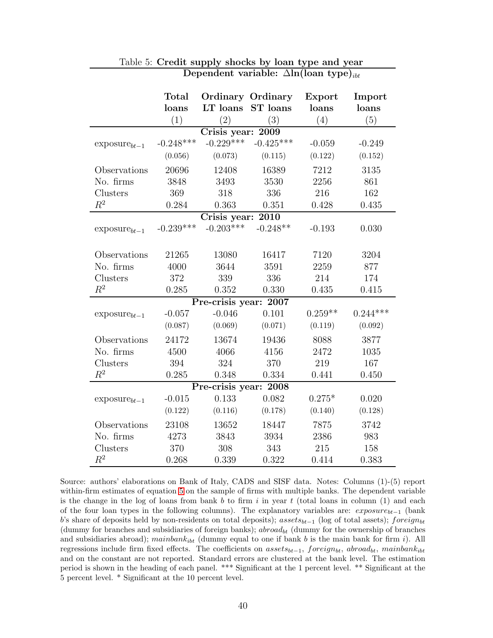|                   | <b>Total</b><br>loans<br>(1) | LT loans<br>(2)       | <b>Ordinary Ordinary</b><br>ST loans<br>(3) | Export<br>loans<br>(4) | Import<br>loans<br>(5) |
|-------------------|------------------------------|-----------------------|---------------------------------------------|------------------------|------------------------|
|                   |                              | Crisis year: 2009     |                                             |                        |                        |
| $exposure_{bt-1}$ | $-0.248***$                  | $-0.229***$           | $-0.425***$                                 | $-0.059$               | $-0.249$               |
|                   | (0.056)                      | (0.073)               | (0.115)                                     | (0.122)                | (0.152)                |
| Observations      | 20696                        | 12408                 | 16389                                       | 7212                   | 3135                   |
| No. firms         | 3848                         | 3493                  | 3530                                        | 2256                   | 861                    |
| Clusters          | 369                          | 318                   | 336                                         | 216                    | 162                    |
| $R^2$             | 0.284                        | 0.363                 | 0.351                                       | 0.428                  | 0.435                  |
|                   |                              | Crisis year: 2010     |                                             |                        |                        |
| $exposure_{bt-1}$ | $-0.239***$                  | $-0.203***$           | $-0.248**$                                  | $-0.193$               | 0.030                  |
|                   |                              |                       |                                             |                        |                        |
| Observations      | 21265                        | 13080                 | 16417                                       | 7120                   | 3204                   |
| No. firms         | 4000                         | 3644                  | 3591                                        | 2259                   | 877                    |
| Clusters          | 372                          | 339                   | 336                                         | 214                    | 174                    |
| $R^2$             | 0.285                        | 0.352                 | 0.330                                       | 0.435                  | 0.415                  |
|                   |                              | Pre-crisis year: 2007 |                                             |                        |                        |
| $exposure_{bt-1}$ | $-0.057$                     | $-0.046$              | 0.101                                       | $0.259**$              | $0.244***$             |
|                   | (0.087)                      | (0.069)               | (0.071)                                     | (0.119)                | (0.092)                |
| Observations      | 24172                        | 13674                 | 19436                                       | 8088                   | 3877                   |
| No. firms         | 4500                         | 4066                  | 4156                                        | 2472                   | 1035                   |
| Clusters          | 394                          | 324                   | 370                                         | 219                    | 167                    |
| $R^2$             | 0.285                        | 0.348                 | 0.334                                       | 0.441                  | 0.450                  |
|                   |                              | Pre-crisis year: 2008 |                                             |                        |                        |
| $exposure_{bt-1}$ | $-0.015$                     | 0.133                 | 0.082                                       | $0.275*$               | 0.020                  |
|                   | (0.122)                      | (0.116)               | (0.178)                                     | (0.140)                | (0.128)                |
| Observations      | 23108                        | 13652                 | 18447                                       | 7875                   | 3742                   |
| No. firms         | 4273                         | 3843                  | 3934                                        | 2386                   | 983                    |
| Clusters          | 370                          | 308                   | 343                                         | 215                    | 158                    |
| $R^2$             | 0.268                        | 0.339                 | 0.322                                       | 0.414                  | 0.383                  |

#### <span id="page-41-0"></span>Table 5: **Credit supply shocks by loan type and year Dependent variable:**  $\Delta \ln(\text{lean type})_{itt}$

Source: authors' elaborations on Bank of Italy, CADS and SISF data. Notes: Columns (1)-(5) report within-firm estimates of equation [5](#page-19-1) on the sample of firms with multiple banks. The dependent variable is the change in the log of loans from bank *b* to firm *i* in year *t* (total loans in column (1) and each of the four loan types in the following columns). The explanatory variables are: *exposurebt*−<sup>1</sup> (bank *b*'s share of deposits held by non-residents on total deposits); *assetsbt*−<sup>1</sup> (log of total assets); *foreignbt* (dummy for branches and subsidiaries of foreign banks); *abroadbt* (dummy for the ownership of branches and subsidiaries abroad); *mainbankibt* (dummy equal to one if bank *b* is the main bank for firm *i*). All regressions include firm fixed effects. The coefficients on *assetsbt*−<sup>1</sup>, *foreignbt*, *abroadbt*, *mainbankibt* and on the constant are not reported. Standard errors are clustered at the bank level. The estimation period is shown in the heading of each panel. \*\*\* Significant at the 1 percent level. \*\* Significant at the 5 percent level. \* Significant at the 10 percent level.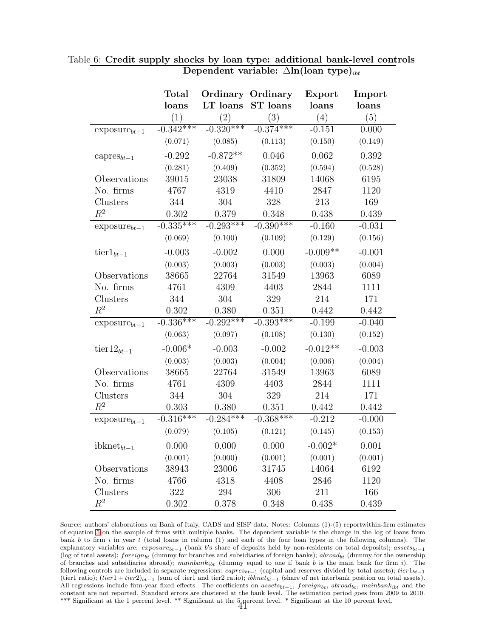<span id="page-42-0"></span>

|                        | <b>Total</b>      |                   | <b>Ordinary Ordinary</b> | Export              | Import   |
|------------------------|-------------------|-------------------|--------------------------|---------------------|----------|
|                        | loans             | LT loans          | ST loans                 | loans               | loans    |
|                        | $\left( 1\right)$ | $\left( 2\right)$ | (3)                      | (4)                 | (5)      |
| $exposure_{bt-1}$      | $-0.342***$       | $-0.320***$       | $-0.374***$              | $-0.15\overline{1}$ | 0.000    |
|                        | (0.071)           | (0.085)           | (0.113)                  | (0.150)             | (0.149)  |
| capres <sub>bt-1</sub> | $-0.292$          | $-0.872**$        | 0.046                    | 0.062               | 0.392    |
|                        | (0.281)           | (0.409)           | (0.352)                  | (0.594)             | (0.528)  |
| Observations           | 39015             | 23038             | 31809                    | 14068               | 6195     |
| No. firms              | 4767              | 4319              | 4410                     | 2847                | 1120     |
| Clusters               | 344               | 304               | 328                      | 213                 | 169      |
| $R^2$                  | 0.302             | 0.379             | 0.348                    | 0.438               | 0.439    |
| $exposure_{bt-1}$      | $-0.335***$       | $-0.293***$       | $-0.390***$              | $-0.160$            | $-0.031$ |
|                        | (0.069)           | (0.100)           | (0.109)                  | (0.129)             | (0.156)  |
| $\text{tier1}_{bt-1}$  | $-0.003$          | $-0.002$          | 0.000                    | $-0.009**$          | $-0.001$ |
|                        | (0.003)           | (0.003)           | (0.003)                  | (0.003)             | (0.004)  |
| Observations           | 38665             | 22764             | 31549                    | 13963               | 6089     |
| No. firms              | 4761              | 4309              | 4403                     | 2844                | 1111     |
| Clusters               | 344               | 304               | 329                      | 214                 | 171      |
| $R^2$                  | 0.302             | 0.380             | 0.351                    | 0.442               | 0.442    |
| $exposure_{bt-1}$      | $-0.336***$       | $-0.292***$       | $-0.393***$              | $-0.199$            | $-0.040$ |
|                        | (0.063)           | (0.097)           | (0.108)                  | (0.130)             | (0.152)  |
| tier $12_{bt-1}$       | $-0.006*$         | $-0.003$          | $-0.002$                 | $-0.012**$          | $-0.003$ |
|                        | (0.003)           | (0.003)           | (0.004)                  | (0.006)             | (0.004)  |
| Observations           | 38665             | 22764             | 31549                    | 13963               | 6089     |
| No. firms              | 4761              | 4309              | 4403                     | 2844                | 1111     |
| Clusters               | 344               | 304               | 329                      | 214                 | 171      |
| $\mathbb{R}^2$         | 0.303             | 0.380             | 0.351                    | 0.442               | 0.442    |
| $exposure_{bt-1}$      | $-0.316***$       | $-0.284***$       | $-0.368***$              | $-0.212$            | $-0.000$ |
|                        | (0.079)           | (0.105)           | (0.121)                  | (0.145)             | (0.153)  |
| $ibknet_{bt-1}$        | 0.000             | 0.000             | 0.000                    | $-0.002*$           | 0.001    |
|                        | (0.001)           | (0.000)           | (0.001)                  | (0.001)             | (0.001)  |
| Observations           | 38943             | 23006             | 31745                    | 14064               | 6192     |
| No. firms              | 4766              | 4318              | 4408                     | 2846                | 1120     |
| Clusters               | 322               | 294               | 306                      | 211                 | 166      |
| $\mathbb{R}^2$         | 0.302             | 0.378             | 0.348                    | 0.438               | 0.439    |

Table 6: **Credit supply shocks by loan type: additional bank-level controls Dependent variable:**  $\Delta$ ln(loan type)<sub>ibt</sub>

Source: authors' elaborations on Bank of Italy, CADS and SISF data. Notes: Columns (1)-(5) reportwithin-firm estimates of equation [5](#page-19-1) on the sample of firms with multiple banks. The dependent variable is the change in the log of loans from bank  $b$  to firm i in year t (total loans in column (1) and each of the four loan types in the following columns). The explanatory variables are: exposure*bt*−<sup>1</sup> (bank b's share of deposits held by non-residents on total deposits); assets*bt*−<sup>1</sup> (log of total assets); foreign<sub>bt</sub> (dummy for branches and subsidiaries of foreign banks); abroad<sub>bt</sub> (dummy for the ownership of branches and subsidiaries abroad); mainbank*ibt* (dummy equal to one if bank b is the main bank for firm i). The following controls are included in separate regressions: capres*bt*−<sup>1</sup> (capital and reserves divided by total assets); tier1*bt*−<sup>1</sup> (tier1 ratio); (tier1 + tier2)*bt*−<sup>1</sup> (sum of tier1 and tier2 ratio); ibknet*bt*−<sup>1</sup> (share of net interbank position on total assets). All regressions include firm-year fixed effects. The coefficients on assets*bt*−1, f oreign*bt*, abroad*bt*, mainbank*ibt* and the constant are not reported. Standard errors are clustered at the bank level. The estimation period goes from 2009 to 2010. \*\*\* Significant at the 1 percent level. \*\* Significant at the 5 percent level. \* Significant at the 10 percent level.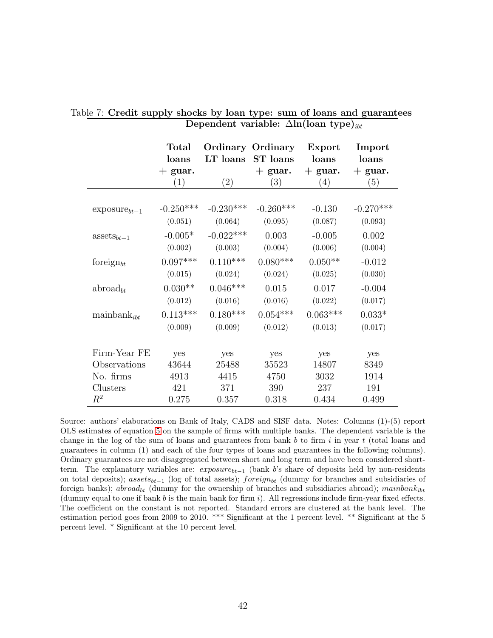<span id="page-43-0"></span>

|                         | <b>Total</b> |                   | <b>Ordinary Ordinary</b> | Export     | Import      |
|-------------------------|--------------|-------------------|--------------------------|------------|-------------|
|                         | loans        | LT loans          | ST loans                 | loans      | loans       |
|                         | $+$ guar.    |                   | $+$ guar.                | $+$ guar.  | $+$ guar.   |
|                         | (1)          | $\left( 2\right)$ | (3)                      | (4)        | (5)         |
|                         |              |                   |                          |            |             |
| $exposure_{bt-1}$       | $-0.250***$  | $-0.230***$       | $-0.260***$              | $-0.130$   | $-0.270***$ |
|                         | (0.051)      | (0.064)           | (0.095)                  | (0.087)    | (0.093)     |
| $\text{asserts}_{bt-1}$ | $-0.005*$    | $-0.022***$       | 0.003                    | $-0.005$   | 0.002       |
|                         | (0.002)      | (0.003)           | (0.004)                  | (0.006)    | (0.004)     |
| foreign $_{bt}$         | $0.097***$   | $0.110***$        | $0.080***$               | $0.050**$  | $-0.012$    |
|                         | (0.015)      | (0.024)           | (0.024)                  | (0.025)    | (0.030)     |
| abroad <sub>ht</sub>    | $0.030**$    | $0.046***$        | 0.015                    | 0.017      | $-0.004$    |
|                         | (0.012)      | (0.016)           | (0.016)                  | (0.022)    | (0.017)     |
| $\text{mainbank}_{ibt}$ | $0.113***$   | $0.180***$        | $0.054***$               | $0.063***$ | $0.033*$    |
|                         | (0.009)      | (0.009)           | (0.012)                  | (0.013)    | (0.017)     |
|                         |              |                   |                          |            |             |
| Firm-Year FE            | yes          | yes               | yes                      | yes        | yes         |
| Observations            | 43644        | 25488             | 35523                    | 14807      | 8349        |
| No. firms               | 4913         | 4415              | 4750                     | 3032       | 1914        |
| Clusters                | 421          | 371               | 390                      | 237        | 191         |
| $\,R^2$                 | 0.275        | 0.357             | 0.318                    | 0.434      | 0.499       |

|  |  |                                                          |  |  | Table 7: Credit supply shocks by loan type: sum of loans and guarantees |  |
|--|--|----------------------------------------------------------|--|--|-------------------------------------------------------------------------|--|
|  |  | Dependent variable: $\Delta \ln(\text{lean type})_{ibt}$ |  |  |                                                                         |  |

Source: authors' elaborations on Bank of Italy, CADS and SISF data. Notes: Columns (1)-(5) report OLS estimates of equation [5](#page-19-1) on the sample of firms with multiple banks. The dependent variable is the change in the log of the sum of loans and guarantees from bank *b* to firm *i* in year *t* (total loans and guarantees in column (1) and each of the four types of loans and guarantees in the following columns). Ordinary guarantees are not disaggregated between short and long term and have been considered shortterm. The explanatory variables are: *exposurebt*−<sup>1</sup> (bank *b*'s share of deposits held by non-residents on total deposits); *assetsbt*−<sup>1</sup> (log of total assets); *foreignbt* (dummy for branches and subsidiaries of foreign banks); *abroadbt* (dummy for the ownership of branches and subsidiaries abroad); *mainbankibt* (dummy equal to one if bank *b* is the main bank for firm *i*). All regressions include firm-year fixed effects. The coefficient on the constant is not reported. Standard errors are clustered at the bank level. The estimation period goes from 2009 to 2010. \*\*\* Significant at the 1 percent level. \*\* Significant at the 5 percent level. \* Significant at the 10 percent level.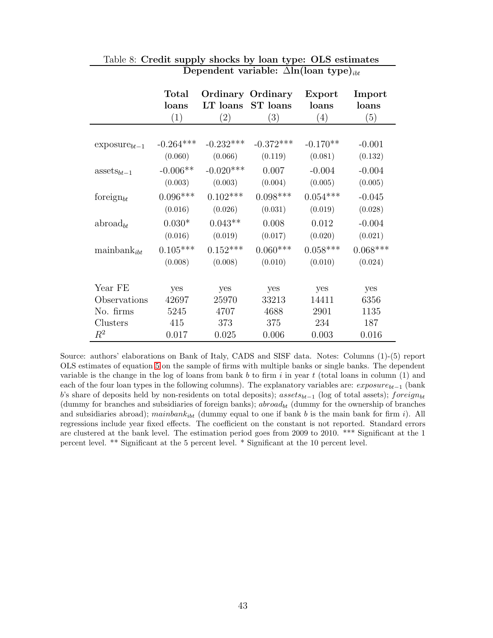|                         | <b>Total</b><br>loans<br>(1) | LT loans<br>(2) | <b>Ordinary Ordinary</b><br>ST loans<br>(3) | Export<br>loans<br>(4) | Import<br>loans<br>(5) |
|-------------------------|------------------------------|-----------------|---------------------------------------------|------------------------|------------------------|
|                         |                              |                 |                                             |                        |                        |
| $exposure_{bt-1}$       | $-0.264***$                  | $-0.232***$     | $-0.372***$                                 | $-0.170**$             | $-0.001$               |
|                         | (0.060)                      | (0.066)         | (0.119)                                     | (0.081)                | (0.132)                |
| $\text{asserts}_{bt-1}$ | $-0.006**$                   | $-0.020***$     | 0.007                                       | $-0.004$               | $-0.004$               |
|                         | (0.003)                      | (0.003)         | (0.004)                                     | (0.005)                | (0.005)                |
| foreign $_{bt}$         | $0.096***$                   | $0.102***$      | $0.098***$                                  | $0.054***$             | $-0.045$               |
|                         | (0.016)                      | (0.026)         | (0.031)                                     | (0.019)                | (0.028)                |
| abroad <sub>bt</sub>    | $0.030*$                     | $0.043**$       | 0.008                                       | 0.012                  | $-0.004$               |
|                         | (0.016)                      | (0.019)         | (0.017)                                     | (0.020)                | (0.021)                |
| $\text{mainbank}_{ibt}$ | $0.105***$                   | $0.152***$      | $0.060***$                                  | $0.058***$             | $0.068***$             |
|                         | (0.008)                      | (0.008)         | (0.010)                                     | (0.010)                | (0.024)                |
|                         |                              |                 |                                             |                        |                        |
| Year FE                 | yes                          | yes             | yes                                         | yes                    | yes                    |
| Observations            | 42697                        | 25970           | 33213                                       | 14411                  | 6356                   |
| No. firms               | 5245                         | 4707            | 4688                                        | 2901                   | 1135                   |
| Clusters                | 415                          | 373             | 375                                         | 234                    | 187                    |
| $\mathbb{R}^2$          | 0.017                        | 0.025           | 0.006                                       | 0.003                  | 0.016                  |

#### <span id="page-44-0"></span>Table 8: **Credit supply shocks by loan type: OLS estimates Dependent variable:**  $\Delta$ ln(loan type)<sub>ibt</sub>

Source: authors' elaborations on Bank of Italy, CADS and SISF data. Notes: Columns (1)-(5) report OLS estimates of equation [5](#page-19-1) on the sample of firms with multiple banks or single banks. The dependent variable is the change in the log of loans from bank *b* to firm *i* in year *t* (total loans in column (1) and each of the four loan types in the following columns). The explanatory variables are: *exposurebt*−<sup>1</sup> (bank *b*'s share of deposits held by non-residents on total deposits); *assetsbt*−<sup>1</sup> (log of total assets); *foreignbt* (dummy for branches and subsidiaries of foreign banks); *abroadbt* (dummy for the ownership of branches and subsidiaries abroad); *mainbank<sub>ibt</sub>* (dummy equal to one if bank *b* is the main bank for firm *i*). All regressions include year fixed effects. The coefficient on the constant is not reported. Standard errors are clustered at the bank level. The estimation period goes from 2009 to 2010. \*\*\* Significant at the 1 percent level. \*\* Significant at the 5 percent level. \* Significant at the 10 percent level.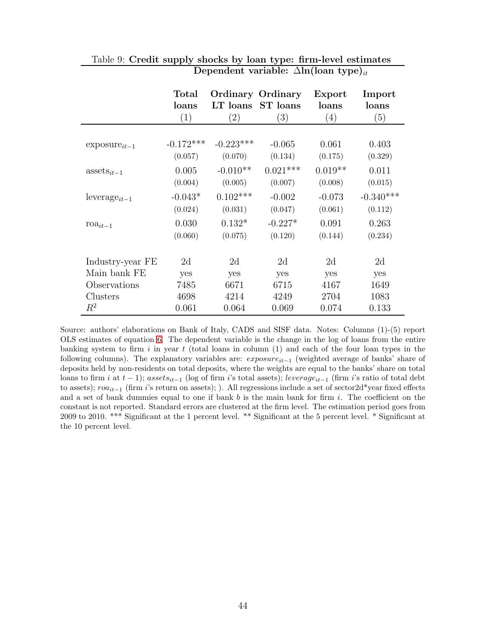|                         | <b>Total</b> |                   | <b>Ordinary Ordinary</b> | Export    | Import      |
|-------------------------|--------------|-------------------|--------------------------|-----------|-------------|
|                         | loans        | LT loans          | <b>ST</b> loans          | loans     | loans       |
|                         | (1)          | $\left( 2\right)$ | $\left(3\right)$         | (4)       | (5)         |
|                         |              |                   |                          |           |             |
| $exposure_{it-1}$       | $-0.172***$  | $-0.223***$       | $-0.065$                 | 0.061     | 0.403       |
|                         | (0.057)      | (0.070)           | (0.134)                  | (0.175)   | (0.329)     |
| $\text{asserts}_{it-1}$ | 0.005        | $-0.010**$        | $0.021***$               | $0.019**$ | 0.011       |
|                         | (0.004)      | (0.005)           | (0.007)                  | (0.008)   | (0.015)     |
| $leverage_{it-1}$       | $-0.043*$    | $0.102***$        | $-0.002$                 | $-0.073$  | $-0.340***$ |
|                         | (0.024)      | (0.031)           | (0.047)                  | (0.061)   | (0.112)     |
| $\text{roa}_{it-1}$     | 0.030        | $0.132*$          | $-0.227*$                | 0.091     | 0.263       |
|                         | (0.060)      | (0.075)           | (0.120)                  | (0.144)   | (0.234)     |
|                         |              |                   |                          |           |             |
| Industry-year FE        | 2d           | 2d                | 2d                       | 2d        | 2d          |
| Main bank FE            | yes          | yes               | yes                      | yes       | yes         |
| Observations            | 7485         | 6671              | 6715                     | 4167      | 1649        |
| Clusters                | 4698         | 4214              | 4249                     | 2704      | 1083        |
| $R^2$                   | 0.061        | 0.064             | 0.069                    | 0.074     | 0.133       |

#### <span id="page-45-0"></span>Table 9: **Credit supply shocks by loan type: firm-level estimates Dependent variable:** Δ**ln(loan type)**it

Source: authors' elaborations on Bank of Italy, CADS and SISF data. Notes: Columns (1)-(5) report OLS estimates of equation [6.](#page-24-0) The dependent variable is the change in the log of loans from the entire banking system to firm *i* in year *t* (total loans in column (1) and each of the four loan types in the following columns). The explanatory variables are: *exposureit*−<sup>1</sup> (weighted average of banks' share of deposits held by non-residents on total deposits, where the weights are equal to the banks' share on total loans to firm *i* at *t* − 1); *assetsit*−<sup>1</sup> (log of firm *i*'s total assets); *leverageit*−<sup>1</sup> (firm *i*'s ratio of total debt to assets); *roait*−<sup>1</sup> (firm *i*'s return on assets); ). All regressions include a set of sector2d\*year fixed effects and a set of bank dummies equal to one if bank *b* is the main bank for firm *i*. The coefficient on the constant is not reported. Standard errors are clustered at the firm level. The estimation period goes from 2009 to 2010. \*\*\* Significant at the 1 percent level. \*\* Significant at the 5 percent level. \* Significant at the 10 percent level.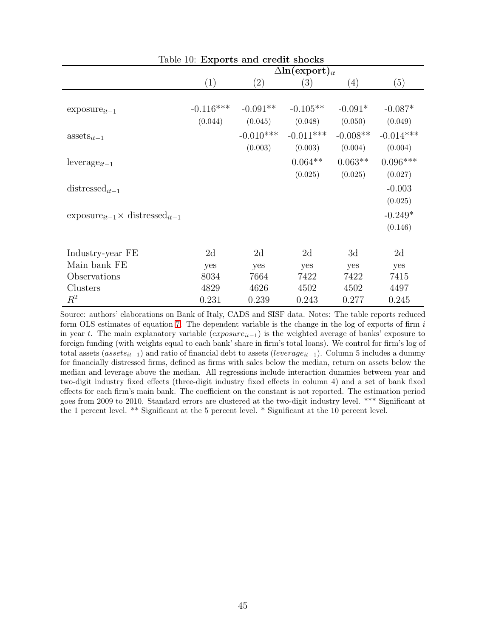<span id="page-46-0"></span>

| Table 10: Exports and credit shocks                |                                   |                   |             |            |             |  |
|----------------------------------------------------|-----------------------------------|-------------------|-------------|------------|-------------|--|
|                                                    | $\Delta$ ln(export) <sub>it</sub> |                   |             |            |             |  |
|                                                    | (1)                               | $\left( 2\right)$ | (3)         | (4)        | (5)         |  |
|                                                    |                                   |                   |             |            |             |  |
| $exposure_{it-1}$                                  | $-0.116***$                       | $-0.091**$        | $-0.105**$  | $-0.091*$  | $-0.087*$   |  |
|                                                    | (0.044)                           | (0.045)           | (0.048)     | (0.050)    | (0.049)     |  |
| $\text{asserts}_{it-1}$                            |                                   | $-0.010***$       | $-0.011***$ | $-0.008**$ | $-0.014***$ |  |
|                                                    |                                   | (0.003)           | (0.003)     | (0.004)    | (0.004)     |  |
| leverage <sub>it-1</sub>                           |                                   |                   | $0.064**$   | $0.063**$  | $0.096***$  |  |
|                                                    |                                   |                   | (0.025)     | (0.025)    | (0.027)     |  |
| distressed <sub>it-1</sub>                         |                                   |                   |             |            | $-0.003$    |  |
|                                                    |                                   |                   |             |            | (0.025)     |  |
| $\exposure_{it-1} \times \text{distressed}_{it-1}$ |                                   |                   |             |            | $-0.249*$   |  |
|                                                    |                                   |                   |             |            | (0.146)     |  |
|                                                    |                                   |                   |             |            |             |  |
| Industry-year FE                                   | 2d                                | 2d                | 2d          | 3d         | 2d          |  |
| Main bank FE                                       | yes                               | yes               | yes         | yes        | yes         |  |
| Observations                                       | 8034                              | 7664              | 7422        | 7422       | 7415        |  |
| Clusters                                           | 4829                              | 4626              | 4502        | 4502       | 4497        |  |
| $R^2$                                              | 0.231                             | 0.239             | 0.243       | 0.277      | 0.245       |  |

Source: authors' elaborations on Bank of Italy, CADS and SISF data. Notes: The table reports reduced form OLS estimates of equation [7.](#page-27-1) The dependent variable is the change in the log of exports of firm *i* in year *t*. The main explanatory variable (*exposureit*−<sup>1</sup>) is the weighted average of banks' exposure to foreign funding (with weights equal to each bank' share in firm's total loans). We control for firm's log of total assets (*assetsit*−<sup>1</sup>) and ratio of financial debt to assets (*leverageit*−<sup>1</sup>). Column 5 includes a dummy for financially distressed firms, defined as firms with sales below the median, return on assets below the median and leverage above the median. All regressions include interaction dummies between year and two-digit industry fixed effects (three-digit industry fixed effects in column 4) and a set of bank fixed effects for each firm's main bank. The coefficient on the constant is not reported. The estimation period goes from 2009 to 2010. Standard errors are clustered at the two-digit industry level. \*\*\* Significant at the 1 percent level. \*\* Significant at the 5 percent level. \* Significant at the 10 percent level.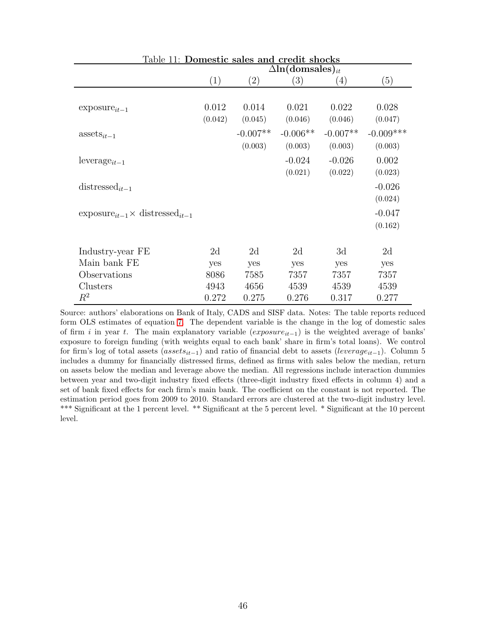<span id="page-47-0"></span>

| Table 11: Domestic sales and credit shocks         |                                     |                   |            |                   |             |
|----------------------------------------------------|-------------------------------------|-------------------|------------|-------------------|-------------|
|                                                    | $\Delta$ ln(domsales) <sub>it</sub> |                   |            |                   |             |
|                                                    | (1)                                 | $\left( 2\right)$ | (3)        | $\left( 4\right)$ | (5)         |
|                                                    |                                     |                   |            |                   |             |
| $exposure_{it-1}$                                  | 0.012                               | 0.014             | 0.021      | 0.022             | 0.028       |
|                                                    | (0.042)                             | (0.045)           | (0.046)    | (0.046)           | (0.047)     |
| $\text{asserts}_{it-1}$                            |                                     | $-0.007**$        | $-0.006**$ | $-0.007**$        | $-0.009***$ |
|                                                    |                                     | (0.003)           | (0.003)    | (0.003)           | (0.003)     |
| $leverage_{it-1}$                                  |                                     |                   | $-0.024$   | $-0.026$          | 0.002       |
|                                                    |                                     |                   | (0.021)    | (0.022)           | (0.023)     |
| distressed <sub>it-1</sub>                         |                                     |                   |            |                   | $-0.026$    |
|                                                    |                                     |                   |            |                   | (0.024)     |
| $\exposure_{it-1} \times \text{distressed}_{it-1}$ |                                     |                   |            |                   | $-0.047$    |
|                                                    |                                     |                   |            |                   | (0.162)     |
|                                                    |                                     |                   |            |                   |             |
| Industry-year FE                                   | 2d                                  | 2d                | 2d         | 3d                | 2d          |
| Main bank FE                                       | yes                                 | yes               | yes        | yes               | yes         |
| Observations                                       | 8086                                | 7585              | 7357       | 7357              | 7357        |
| Clusters                                           | 4943                                | 4656              | 4539       | 4539              | 4539        |
| $\,R^2$                                            | 0.272                               | 0.275             | 0.276      | 0.317             | 0.277       |

Source: authors' elaborations on Bank of Italy, CADS and SISF data. Notes: The table reports reduced form OLS estimates of equation [7.](#page-27-1) The dependent variable is the change in the log of domestic sales of firm *i* in year *t*. The main explanatory variable (*exposureit*−<sup>1</sup>) is the weighted average of banks' exposure to foreign funding (with weights equal to each bank' share in firm's total loans). We control for firm's log of total assets (*assetsit*−<sup>1</sup>) and ratio of financial debt to assets (*leverageit*−<sup>1</sup>). Column 5 includes a dummy for financially distressed firms, defined as firms with sales below the median, return on assets below the median and leverage above the median. All regressions include interaction dummies between year and two-digit industry fixed effects (three-digit industry fixed effects in column 4) and a set of bank fixed effects for each firm's main bank. The coefficient on the constant is not reported. The estimation period goes from 2009 to 2010. Standard errors are clustered at the two-digit industry level. \*\*\* Significant at the 1 percent level. \*\* Significant at the 5 percent level. \* Significant at the 10 percent level.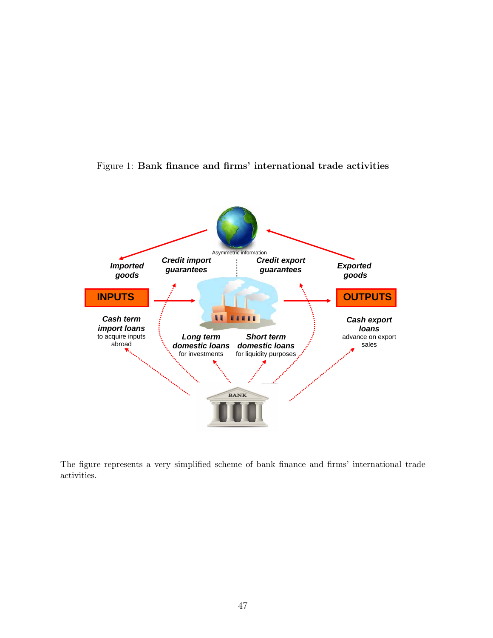<span id="page-48-0"></span>



The figure represents a very simplified scheme of bank finance and firms' international trade activities.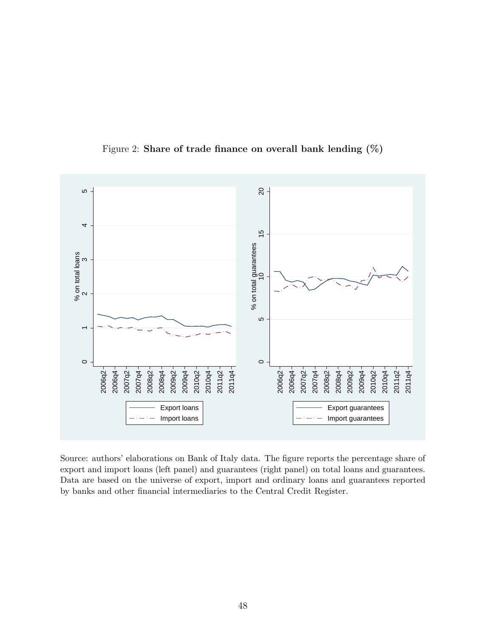

<span id="page-49-0"></span>Figure 2: **Share of trade finance on overall bank lending (%)**

Source: authors' elaborations on Bank of Italy data. The figure reports the percentage share of export and import loans (left panel) and guarantees (right panel) on total loans and guarantees. Data are based on the universe of export, import and ordinary loans and guarantees reported by banks and other financial intermediaries to the Central Credit Register.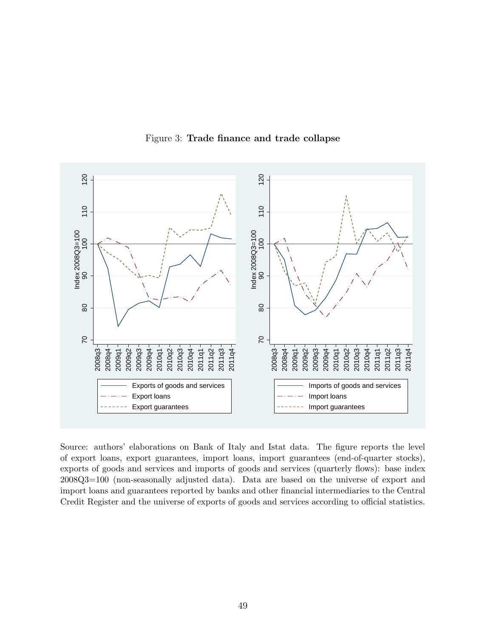

<span id="page-50-0"></span>Figure 3: **Trade finance and trade collapse**

Source: authors' elaborations on Bank of Italy and Istat data. The figure reports the level of export loans, export guarantees, import loans, import guarantees (end-of-quarter stocks), exports of goods and services and imports of goods and services (quarterly flows): base index 2008Q3=100 (non-seasonally adjusted data). Data are based on the universe of export and import loans and guarantees reported by banks and other financial intermediaries to the Central Credit Register and the universe of exports of goods and services according to official statistics.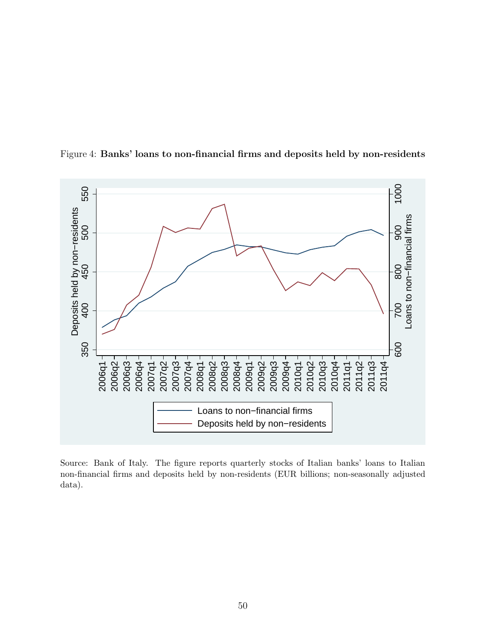

<span id="page-51-0"></span>Figure 4: **Banks' loans to non-financial firms and deposits held by non-residents**

Source: Bank of Italy. The figure reports quarterly stocks of Italian banks' loans to Italian non-financial firms and deposits held by non-residents (EUR billions; non-seasonally adjusted data).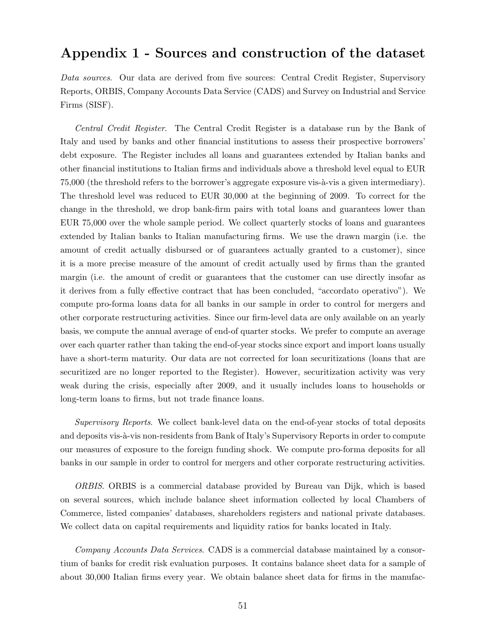## **Appendix 1 - Sources and construction of the dataset**

*Data sources*. Our data are derived from five sources: Central Credit Register, Supervisory Reports, ORBIS, Company Accounts Data Service (CADS) and Survey on Industrial and Service Firms (SISF).

*Central Credit Register*. The Central Credit Register is a database run by the Bank of Italy and used by banks and other financial institutions to assess their prospective borrowers' debt exposure. The Register includes all loans and guarantees extended by Italian banks and other financial institutions to Italian firms and individuals above a threshold level equal to EUR  $75,000$  (the threshold refers to the borrower's aggregate exposure vis- $\lambda$ -vis a given intermediary). The threshold level was reduced to EUR 30,000 at the beginning of 2009. To correct for the change in the threshold, we drop bank-firm pairs with total loans and guarantees lower than EUR 75,000 over the whole sample period. We collect quarterly stocks of loans and guarantees extended by Italian banks to Italian manufacturing firms. We use the drawn margin (i.e. the amount of credit actually disbursed or of guarantees actually granted to a customer), since it is a more precise measure of the amount of credit actually used by firms than the granted margin (i.e. the amount of credit or guarantees that the customer can use directly insofar as it derives from a fully effective contract that has been concluded, "accordato operativo"). We compute pro-forma loans data for all banks in our sample in order to control for mergers and other corporate restructuring activities. Since our firm-level data are only available on an yearly basis, we compute the annual average of end-of quarter stocks. We prefer to compute an average over each quarter rather than taking the end-of-year stocks since export and import loans usually have a short-term maturity. Our data are not corrected for loan securitizations (loans that are securitized are no longer reported to the Register). However, securitization activity was very weak during the crisis, especially after 2009, and it usually includes loans to households or long-term loans to firms, but not trade finance loans.

*Supervisory Reports*. We collect bank-level data on the end-of-year stocks of total deposits and deposits vis- $\grave{a}$ -vis non-residents from Bank of Italy's Supervisory Reports in order to compute our measures of exposure to the foreign funding shock. We compute pro-forma deposits for all banks in our sample in order to control for mergers and other corporate restructuring activities.

*ORBIS*. ORBIS is a commercial database provided by Bureau van Dijk, which is based on several sources, which include balance sheet information collected by local Chambers of Commerce, listed companies' databases, shareholders registers and national private databases. We collect data on capital requirements and liquidity ratios for banks located in Italy.

*Company Accounts Data Services*. CADS is a commercial database maintained by a consortium of banks for credit risk evaluation purposes. It contains balance sheet data for a sample of about 30,000 Italian firms every year. We obtain balance sheet data for firms in the manufac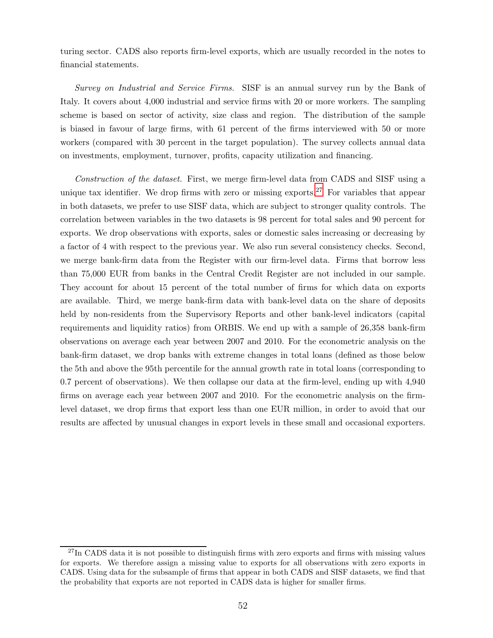turing sector. CADS also reports firm-level exports, which are usually recorded in the notes to financial statements.

*Survey on Industrial and Service Firms.* SISF is an annual survey run by the Bank of Italy. It covers about 4,000 industrial and service firms with 20 or more workers. The sampling scheme is based on sector of activity, size class and region. The distribution of the sample is biased in favour of large firms, with 61 percent of the firms interviewed with 50 or more workers (compared with 30 percent in the target population). The survey collects annual data on investments, employment, turnover, profits, capacity utilization and financing.

*Construction of the dataset.* First, we merge firm-level data from CADS and SISF using a unique tax identifier. We drop firms with zero or missing exports.<sup>[27](#page-53-0)</sup> For variables that appear in both datasets, we prefer to use SISF data, which are subject to stronger quality controls. The correlation between variables in the two datasets is 98 percent for total sales and 90 percent for exports. We drop observations with exports, sales or domestic sales increasing or decreasing by a factor of 4 with respect to the previous year. We also run several consistency checks. Second, we merge bank-firm data from the Register with our firm-level data. Firms that borrow less than 75,000 EUR from banks in the Central Credit Register are not included in our sample. They account for about 15 percent of the total number of firms for which data on exports are available. Third, we merge bank-firm data with bank-level data on the share of deposits held by non-residents from the Supervisory Reports and other bank-level indicators (capital requirements and liquidity ratios) from ORBIS. We end up with a sample of 26,358 bank-firm observations on average each year between 2007 and 2010. For the econometric analysis on the bank-firm dataset, we drop banks with extreme changes in total loans (defined as those below the 5th and above the 95th percentile for the annual growth rate in total loans (corresponding to 0.7 percent of observations). We then collapse our data at the firm-level, ending up with 4,940 firms on average each year between 2007 and 2010. For the econometric analysis on the firmlevel dataset, we drop firms that export less than one EUR million, in order to avoid that our results are affected by unusual changes in export levels in these small and occasional exporters.

<span id="page-53-0"></span><sup>&</sup>lt;sup>27</sup>In CADS data it is not possible to distinguish firms with zero exports and firms with missing values for exports. We therefore assign a missing value to exports for all observations with zero exports in CADS. Using data for the subsample of firms that appear in both CADS and SISF datasets, we find that the probability that exports are not reported in CADS data is higher for smaller firms.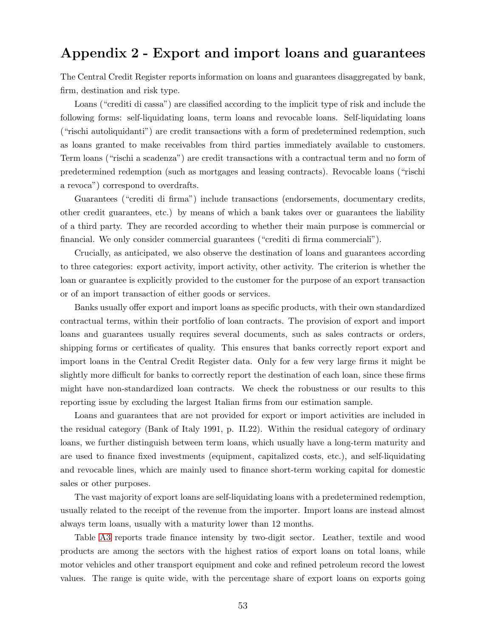## **Appendix 2 - Export and import loans and guarantees**

The Central Credit Register reports information on loans and guarantees disaggregated by bank, firm, destination and risk type.

Loans ("crediti di cassa") are classified according to the implicit type of risk and include the following forms: self-liquidating loans, term loans and revocable loans. Self-liquidating loans ("rischi autoliquidanti") are credit transactions with a form of predetermined redemption, such as loans granted to make receivables from third parties immediately available to customers. Term loans ("rischi a scadenza") are credit transactions with a contractual term and no form of predetermined redemption (such as mortgages and leasing contracts). Revocable loans ("rischi a revoca") correspond to overdrafts.

Guarantees ("crediti di firma") include transactions (endorsements, documentary credits, other credit guarantees, etc.) by means of which a bank takes over or guarantees the liability of a third party. They are recorded according to whether their main purpose is commercial or financial. We only consider commercial guarantees ("crediti di firma commerciali").

Crucially, as anticipated, we also observe the destination of loans and guarantees according to three categories: export activity, import activity, other activity. The criterion is whether the loan or guarantee is explicitly provided to the customer for the purpose of an export transaction or of an import transaction of either goods or services.

Banks usually offer export and import loans as specific products, with their own standardized contractual terms, within their portfolio of loan contracts. The provision of export and import loans and guarantees usually requires several documents, such as sales contracts or orders, shipping forms or certificates of quality. This ensures that banks correctly report export and import loans in the Central Credit Register data. Only for a few very large firms it might be slightly more difficult for banks to correctly report the destination of each loan, since these firms might have non-standardized loan contracts. We check the robustness or our results to this reporting issue by excluding the largest Italian firms from our estimation sample.

Loans and guarantees that are not provided for export or import activities are included in the residual category (Bank of Italy 1991, p. II.22). Within the residual category of ordinary loans, we further distinguish between term loans, which usually have a long-term maturity and are used to finance fixed investments (equipment, capitalized costs, etc.), and self-liquidating and revocable lines, which are mainly used to finance short-term working capital for domestic sales or other purposes.

The vast majority of export loans are self-liquidating loans with a predetermined redemption, usually related to the receipt of the revenue from the importer. Import loans are instead almost always term loans, usually with a maturity lower than 12 months.

Table [A3](#page-57-0) reports trade finance intensity by two-digit sector. Leather, textile and wood products are among the sectors with the highest ratios of export loans on total loans, while motor vehicles and other transport equipment and coke and refined petroleum record the lowest values. The range is quite wide, with the percentage share of export loans on exports going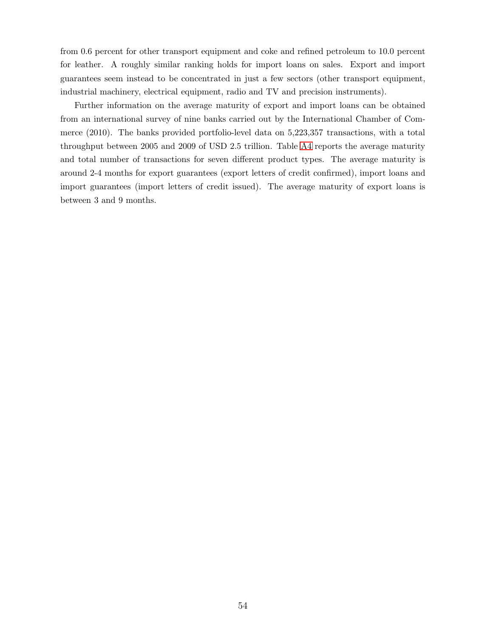from 0.6 percent for other transport equipment and coke and refined petroleum to 10.0 percent for leather. A roughly similar ranking holds for import loans on sales. Export and import guarantees seem instead to be concentrated in just a few sectors (other transport equipment, industrial machinery, electrical equipment, radio and TV and precision instruments).

Further information on the average maturity of export and import loans can be obtained from an international survey of nine banks carried out by the International Chamber of Commerce (2010). The banks provided portfolio-level data on 5,223,357 transactions, with a total throughput between 2005 and 2009 of USD 2.5 trillion. Table [A4](#page-58-0) reports the average maturity and total number of transactions for seven different product types. The average maturity is around 2-4 months for export guarantees (export letters of credit confirmed), import loans and import guarantees (import letters of credit issued). The average maturity of export loans is between 3 and 9 months.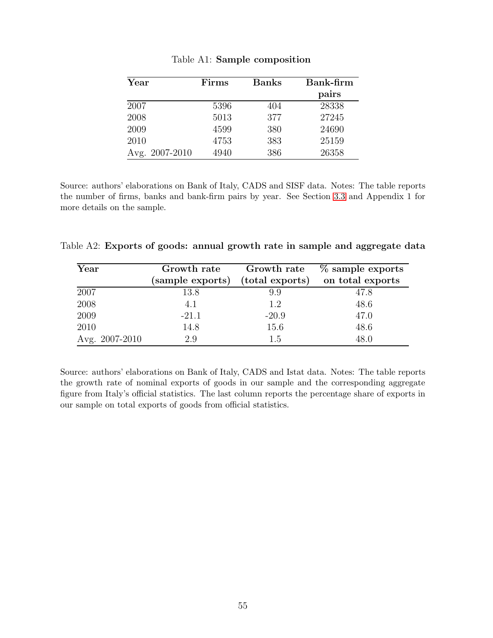| $\operatorname{Year}$ | Firms | <b>Banks</b> | Bank-firm |
|-----------------------|-------|--------------|-----------|
|                       |       |              | pairs     |
| 2007                  | 5396  | 404          | 28338     |
| 2008                  | 5013  | 377          | 27245     |
| 2009                  | 4599  | 380          | 24690     |
| 2010                  | 4753  | 383          | 25159     |
| Avg. 2007-2010        | 4940  | 386          | 26358     |

<span id="page-56-0"></span>Table A1: **Sample composition**

Source: authors' elaborations on Bank of Italy, CADS and SISF data. Notes: The table reports the number of firms, banks and bank-firm pairs by year. See Section [3.3](#page-12-0) and Appendix 1 for more details on the sample.

Table A2: **Exports of goods: annual growth rate in sample and aggregate data**

<span id="page-56-1"></span>

| Year           | Growth rate      | Growth rate     | $\%$ sample exports |
|----------------|------------------|-----------------|---------------------|
|                | (sample exports) | (total exports) | on total exports    |
| 2007           | 13.8             | 9.9             | 47.8                |
| 2008           | 4.1              | 1.2             | 48.6                |
| 2009           | $-21.1$          | $-20.9$         | 47.0                |
| 2010           | 14.8             | 15.6            | 48.6                |
| Avg. 2007-2010 | 2.9              | 1.5             | 48.0                |

Source: authors' elaborations on Bank of Italy, CADS and Istat data. Notes: The table reports the growth rate of nominal exports of goods in our sample and the corresponding aggregate figure from Italy's official statistics. The last column reports the percentage share of exports in our sample on total exports of goods from official statistics.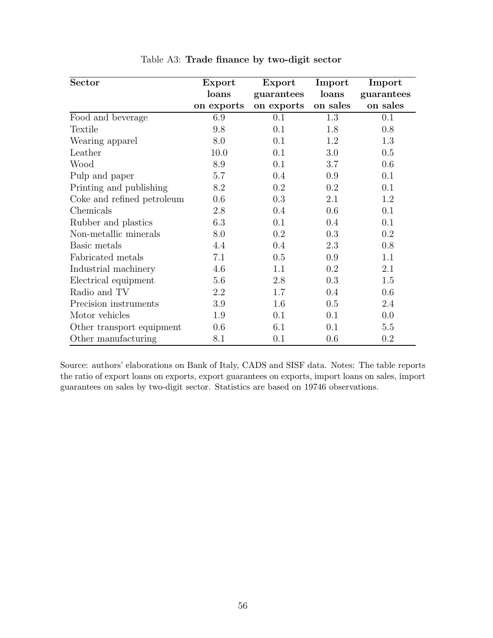| <b>Sector</b>              | Export     | Export     | Import   | Import     |
|----------------------------|------------|------------|----------|------------|
|                            | loans      | guarantees | loans    | guarantees |
|                            | on exports | on exports | on sales | on sales   |
| Food and beverage          | 6.9        | 0.1        | 1.3      | 0.1        |
| Textile                    | 9.8        | 0.1        | 1.8      | 0.8        |
| Wearing apparel            | 8.0        | 0.1        | 1.2      | 1.3        |
| Leather                    | 10.0       | 0.1        | 3.0      | 0.5        |
| Wood                       | 8.9        | 0.1        | 3.7      | 0.6        |
| Pulp and paper             | 5.7        | 0.4        | 0.9      | 0.1        |
| Printing and publishing    | 8.2        | 0.2        | 0.2      | 0.1        |
| Coke and refined petroleum | 0.6        | 0.3        | 2.1      | 1.2        |
| Chemicals                  | 2.8        | 0.4        | 0.6      | 0.1        |
| Rubber and plastics        | 6.3        | 0.1        | 0.4      | 0.1        |
| Non-metallic minerals      | 8.0        | 0.2        | 0.3      | 0.2        |
| Basic metals               | 4.4        | 0.4        | 2.3      | 0.8        |
| Fabricated metals          | 7.1        | 0.5        | 0.9      | 1.1        |
| Industrial machinery       | 4.6        | 1.1        | 0.2      | 2.1        |
| Electrical equipment       | 5.6        | 2.8        | 0.3      | 1.5        |
| Radio and TV               | 2.2        | 1.7        | 0.4      | 0.6        |
| Precision instruments      | 3.9        | 1.6        | 0.5      | 2.4        |
| Motor vehicles             | 1.9        | 0.1        | 0.1      | 0.0        |
| Other transport equipment  | 0.6        | 6.1        | 0.1      | 5.5        |
| Other manufacturing        | 8.1        | 0.1        | 0.6      | 0.2        |

<span id="page-57-0"></span>Table A3: **Trade finance by two-digit sector**

Source: authors' elaborations on Bank of Italy, CADS and SISF data. Notes: The table reports the ratio of export loans on exports, export guarantees on exports, import loans on sales, import guarantees on sales by two-digit sector. Statistics are based on 19746 observations.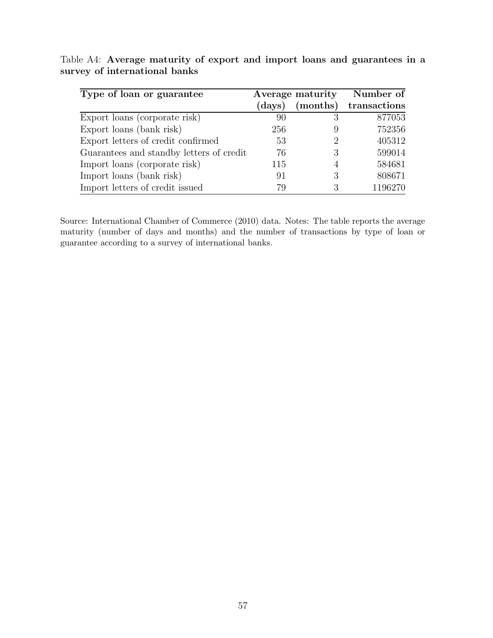<span id="page-58-0"></span>

| Type of loan or guarantee                | Average maturity |                | Number of    |
|------------------------------------------|------------------|----------------|--------------|
|                                          | (days)           | (months)       | transactions |
| Export loans (corporate risk)            | 90               |                | 877053       |
| Export loans (bank risk)                 | 256              | 9              | 752356       |
| Export letters of credit confirmed       | 53               | 2              | 405312       |
| Guarantees and standby letters of credit | 76               | З              | 599014       |
| Import loans (corporate risk)            | 115              | $\overline{4}$ | 584681       |
| Import loans (bank risk)                 | 91               | З              | 808671       |
| Import letters of credit issued          | 79               |                | 1196270      |

Table A4: **Average maturity of export and import loans and guarantees in a survey of international banks**

Source: International Chamber of Commerce (2010) data. Notes: The table reports the average maturity (number of days and months) and the number of transactions by type of loan or guarantee according to a survey of international banks.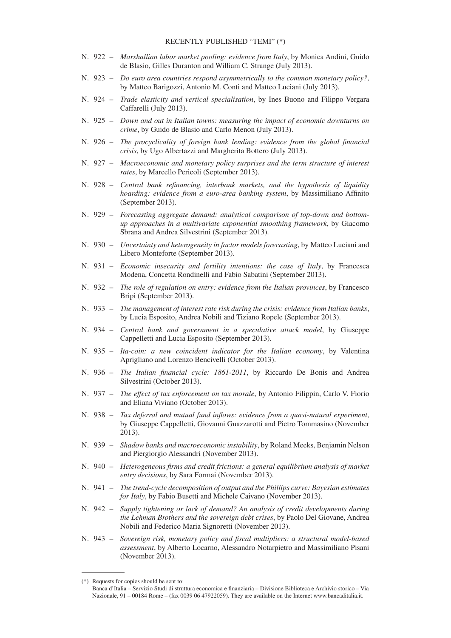- N. 922 *Marshallian labor market pooling: evidence from Italy*, by Monica Andini, Guido de Blasio, Gilles Duranton and William C. Strange (July 2013).
- N. 923 *Do euro area countries respond asymmetrically to the common monetary policy?*, by Matteo Barigozzi, Antonio M. Conti and Matteo Luciani (July 2013).
- N. 924 *Trade elasticity and vertical specialisation*, by Ines Buono and Filippo Vergara Caffarelli (July 2013).
- N. 925 *Down and out in Italian towns: measuring the impact of economic downturns on crime*, by Guido de Blasio and Carlo Menon (July 2013).
- N. 926 *The procyclicality of foreign bank lending: evidence from the global financial crisis*, by Ugo Albertazzi and Margherita Bottero (July 2013).
- N. 927 *Macroeconomic and monetary policy surprises and the term structure of interest rates*, by Marcello Pericoli (September 2013).
- N. 928 *Central bank refinancing, interbank markets, and the hypothesis of liquidity hoarding: evidence from a euro-area banking system*, by Massimiliano Affinito (September 2013).
- N. 929 *Forecasting aggregate demand: analytical comparison of top-down and bottomup approaches in a multivariate exponential smoothing framework*, by Giacomo Sbrana and Andrea Silvestrini (September 2013).
- N. 930 *Uncertainty and heterogeneity in factor models forecasting*, by Matteo Luciani and Libero Monteforte (September 2013).
- N. 931 *Economic insecurity and fertility intentions: the case of Italy*, by Francesca Modena, Concetta Rondinelli and Fabio Sabatini (September 2013).
- N. 932 *The role of regulation on entry: evidence from the Italian provinces*, by Francesco Bripi (September 2013).
- N. 933 *The management of interest rate risk during the crisis: evidence from Italian banks*, by Lucia Esposito, Andrea Nobili and Tiziano Ropele (September 2013).
- N. 934 *Central bank and government in a speculative attack model*, by Giuseppe Cappelletti and Lucia Esposito (September 2013).
- N. 935 *Ita-coin: a new coincident indicator for the Italian economy*, by Valentina Aprigliano and Lorenzo Bencivelli (October 2013).
- N. 936 *The Italian financial cycle: 1861-2011*, by Riccardo De Bonis and Andrea Silvestrini (October 2013).
- N. 937 *The effect of tax enforcement on tax morale*, by Antonio Filippin, Carlo V. Fiorio and Eliana Viviano (October 2013).
- N. 938 *Tax deferral and mutual fund inflows: evidence from a quasi-natural experiment*, by Giuseppe Cappelletti, Giovanni Guazzarotti and Pietro Tommasino (November 2013).
- N. 939 *Shadow banks and macroeconomic instability*, by Roland Meeks, Benjamin Nelson and Piergiorgio Alessandri (November 2013).
- N. 940 *Heterogeneous firms and credit frictions: a general equilibrium analysis of market entry decisions*, by Sara Formai (November 2013).
- N. 941 *The trend-cycle decomposition of output and the Phillips curve: Bayesian estimates for Italy*, by Fabio Busetti and Michele Caivano (November 2013).
- N. 942 *Supply tightening or lack of demand? An analysis of credit developments during the Lehman Brothers and the sovereign debt crises*, by Paolo Del Giovane, Andrea Nobili and Federico Maria Signoretti (November 2013).
- N. 943 *Sovereign risk, monetary policy and fiscal multipliers: a structural model-based assessment*, by Alberto Locarno, Alessandro Notarpietro and Massimiliano Pisani (November 2013).

<sup>(\*)</sup> Requests for copies should be sent to:

Banca d'Italia – Servizio Studi di struttura economica e finanziaria – Divisione Biblioteca e Archivio storico – Via Nazionale, 91 – 00184 Rome – (fax 0039 06 47922059). They are available on the Internet www.bancaditalia.it.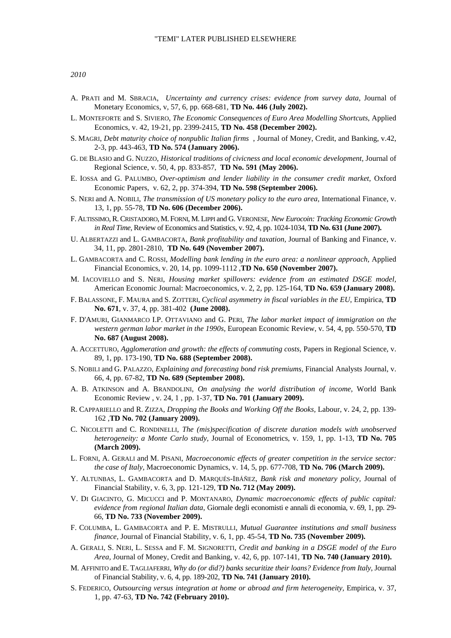- A. PRATI and M. SBRACIA, *Uncertainty and currency crises: evidence from survey data*, Journal of Monetary Economics, v, 57, 6, pp. 668-681, **TD No. 446 (July 2002).**
- L. MONTEFORTE and S. SIVIERO, *The Economic Consequences of Euro Area Modelling Shortcuts*, Applied Economics, v. 42, 19-21, pp. 2399-2415, **TD No. 458 (December 2002).**
- S. MAGRI, *Debt maturity choice of nonpublic Italian firms* , Journal of Money, Credit, and Banking, v.42, 2-3, pp. 443-463, **TD No. 574 (January 2006).**
- G. DE BLASIO and G. NUZZO, *Historical traditions of civicness and local economic development,* Journal of Regional Science, v. 50, 4, pp. 833-857,**TD No. 591 (May 2006).**
- E. IOSSA and G. PALUMBO, *Over-optimism and lender liability in the consumer credit market,* Oxford Economic Papers, v. 62, 2, pp. 374-394, **TD No. 598 (September 2006).**
- S. NERI and A. NOBILI, *The transmission of US monetary policy to the euro area,* International Finance, v. 13, 1, pp. 55-78, **TD No. 606 (December 2006).**
- F. ALTISSIMO, R. CRISTADORO, M. FORNI, M. LIPPI and G. VERONESE, *New Eurocoin: Tracking Economic Growth in Real Time,* Review of Economics and Statistics, v. 92, 4, pp. 1024-1034, **TD No. 631 (June 2007).**
- U. ALBERTAZZI and L. GAMBACORTA, *Bank profitability and taxation,* Journal of Banking and Finance, v. 34, 11, pp. 2801-2810,**TD No. 649 (November 2007).**
- L. GAMBACORTA and C. ROSSI, *Modelling bank lending in the euro area: a nonlinear approach,* Applied Financial Economics, v. 20, 14, pp. 1099-1112 ,**TD No. 650 (November 2007).**
- M. IACOVIELLO and S. NERI, *Housing market spillovers: evidence from an estimated DSGE model,* American Economic Journal: Macroeconomics, v. 2, 2, pp. 125-164, **TD No. 659 (January 2008).**
- F. BALASSONE, F. MAURA and S. ZOTTERI, *Cyclical asymmetry in fiscal variables in the EU*, Empirica, **TD No. 671**, v. 37, 4, pp. 381-402 **(June 2008).**
- F. D'AMURI, GIANMARCO I.P. OTTAVIANO and G. PERI, *The labor market impact of immigration on the western german labor market in the 1990s,* European Economic Review, v. 54, 4, pp. 550-570, **TD No. 687 (August 2008).**
- A. ACCETTURO, *Agglomeration and growth: the effects of commuting costs,* Papers in Regional Science, v. 89, 1, pp. 173-190, **TD No. 688 (September 2008).**
- S. NOBILI and G. PALAZZO, *Explaining and forecasting bond risk premiums,* Financial Analysts Journal, v. 66, 4, pp. 67-82, **TD No. 689 (September 2008).**
- A. B. ATKINSON and A. BRANDOLINI, *On analysing the world distribution of income*, World Bank Economic Review , v. 24, 1 , pp. 1-37, **TD No. 701 (January 2009).**
- R. CAPPARIELLO and R. ZIZZA, *Dropping the Books and Working Off the Books,* Labour, v. 24, 2, pp. 139- 162 ,**TD No. 702 (January 2009).**
- C. NICOLETTI and C. RONDINELLI, *The (mis)specification of discrete duration models with unobserved heterogeneity: a Monte Carlo study,* Journal of Econometrics, v. 159, 1, pp. 1-13, **TD No. 705 (March 2009).**
- L. FORNI, A. GERALI and M. PISANI, *Macroeconomic effects of greater competition in the service sector: the case of Italy,* Macroeconomic Dynamics, v. 14, 5, pp. 677-708, **TD No. 706 (March 2009).**
- Y. ALTUNBAS, L. GAMBACORTA and D. MARQUÉS-IBÁÑEZ, *Bank risk and monetary policy,* Journal of Financial Stability, v. 6, 3, pp. 121-129, **TD No. 712 (May 2009).**
- V. DI GIACINTO, G. MICUCCI and P. MONTANARO, *Dynamic macroeconomic effects of public capital: evidence from regional Italian data,* Giornale degli economisti e annali di economia, v. 69, 1, pp. 29- 66, **TD No. 733 (November 2009).**
- F. COLUMBA, L. GAMBACORTA and P. E. MISTRULLI, *Mutual Guarantee institutions and small business finance,* Journal of Financial Stability, v. 6, 1, pp. 45-54, **TD No. 735 (November 2009).**
- A. GERALI, S. NERI, L. SESSA and F. M. SIGNORETTI, *Credit and banking in a DSGE model of the Euro Area,* Journal of Money, Credit and Banking, v. 42, 6, pp. 107-141, **TD No. 740 (January 2010).**
- M. AFFINITO and E. TAGLIAFERRI, *Why do (or did?) banks securitize their loans? Evidence from Italy*, Journal of Financial Stability, v. 6, 4, pp. 189-202, **TD No. 741 (January 2010).**
- S. FEDERICO, *Outsourcing versus integration at home or abroad and firm heterogeneity,* Empirica, v. 37, 1, pp. 47-63, **TD No. 742 (February 2010).**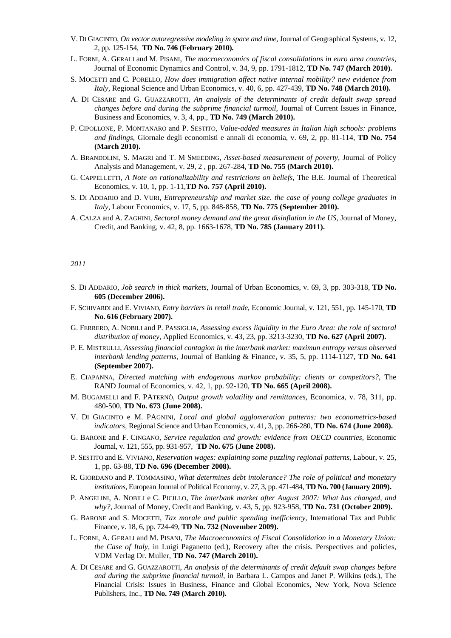- V. DI GIACINTO, *On vector autoregressive modeling in space and time,* Journal of Geographical Systems, v. 12, 2, pp. 125-154,**TD No. 746 (February 2010).**
- L. FORNI, A. GERALI and M. PISANI, *The macroeconomics of fiscal consolidations in euro area countries,* Journal of Economic Dynamics and Control, v. 34, 9, pp. 1791-1812, **TD No. 747 (March 2010).**
- S. MOCETTI and C. PORELLO, *How does immigration affect native internal mobility? new evidence from Italy,* Regional Science and Urban Economics, v. 40, 6, pp. 427-439, **TD No. 748 (March 2010).**
- A. DI CESARE and G. GUAZZAROTTI, *An analysis of the determinants of credit default swap spread changes before and during the subprime financial turmoil,* Journal of Current Issues in Finance, Business and Economics, v. 3, 4, pp., **TD No. 749 (March 2010).**
- P. CIPOLLONE, P. MONTANARO and P. SESTITO, *Value-added measures in Italian high schools: problems and findings*, Giornale degli economisti e annali di economia, v. 69, 2, pp. 81-114, **TD No. 754 (March 2010).**
- A. BRANDOLINI, S. MAGRI and T. M SMEEDING, *Asset-based measurement of poverty*, Journal of Policy Analysis and Management, v. 29, 2 , pp. 267-284, **TD No. 755 (March 2010).**
- G. CAPPELLETTI, *A Note on rationalizability and restrictions on beliefs,* The B.E. Journal of Theoretical Economics, v. 10, 1, pp. 1-11,**TD No. 757 (April 2010).**
- S. DI ADDARIO and D. VURI, *Entrepreneurship and market size. the case of young college graduates in Italy*, Labour Economics, v. 17, 5, pp. 848-858, **TD No. 775 (September 2010).**
- A. CALZA and A. ZAGHINI, *Sectoral money demand and the great disinflation in the US*, Journal of Money, Credit, and Banking, v. 42, 8, pp. 1663-1678, **TD No. 785 (January 2011).**

#### *2011*

- S. DI ADDARIO, *Job search in thick markets*, Journal of Urban Economics, v. 69, 3, pp. 303-318, **TD No. 605 (December 2006).**
- F. SCHIVARDI and E. VIVIANO, *Entry barriers in retail trade*, Economic Journal, v. 121, 551, pp. 145-170, **TD No. 616 (February 2007).**
- G. FERRERO, A. NOBILI and P. PASSIGLIA, *Assessing excess liquidity in the Euro Area: the role of sectoral distribution of money,* Applied Economics, v. 43, 23, pp. 3213-3230, **TD No. 627 (April 2007).**
- P. E. MISTRULLI, *Assessing financial contagion in the interbank market: maximun entropy versus observed interbank lending patterns,* Journal of Banking & Finance, v. 35, 5, pp. 1114-1127, **TD No. 641 (September 2007).**
- E. CIAPANNA, *Directed matching with endogenous markov probability: clients or competitors?*, The RAND Journal of Economics, v. 42, 1, pp. 92-120, **TD No. 665 (April 2008).**
- M. BUGAMELLI and F. PATERNÒ, *Output growth volatility and remittances*, Economica, v. 78, 311, pp. 480-500, **TD No. 673 (June 2008).**
- V. DI GIACINTO e M. PAGNINI, *Local and global agglomeration patterns: two econometrics-based indicators,* Regional Science and Urban Economics, v. 41, 3, pp. 266-280, **TD No. 674 (June 2008).**
- G. BARONE and F. CINGANO, *Service regulation and growth: evidence from OECD countries,* Economic Journal, v. 121, 555, pp. 931-957,**TD No. 675 (June 2008).**
- P. SESTITO and E. VIVIANO, *Reservation wages: explaining some puzzling regional patterns*, Labour, v. 25, 1, pp. 63-88, **TD No. 696 (December 2008).**
- R. GIORDANO and P. TOMMASINO, *What determines debt intolerance? The role of political and monetary institutions*, European Journal of Political Economy, v. 27, 3, pp. 471-484, **TD No. 700 (January 2009).**
- P. ANGELINI, A. NOBILI e C. PICILLO, *The interbank market after August 2007: What has changed, and why?*, Journal of Money, Credit and Banking, v. 43, 5, pp. 923-958, **TD No. 731 (October 2009).**
- G. BARONE and S. MOCETTI, *Tax morale and public spending inefficiency,* International Tax and Public Finance, v. 18, 6, pp. 724-49, **TD No. 732 (November 2009).**
- L. FORNI, A. GERALI and M. PISANI, *The Macroeconomics of Fiscal Consolidation in a Monetary Union: the Case of Italy,* in Luigi Paganetto (ed.), Recovery after the crisis. Perspectives and policies, VDM Verlag Dr. Muller, **TD No. 747 (March 2010).**
- A. DI CESARE and G. GUAZZAROTTI, *An analysis of the determinants of credit default swap changes before and during the subprime financial turmoil*, in Barbara L. Campos and Janet P. Wilkins (eds.), The Financial Crisis: Issues in Business, Finance and Global Economics, New York, Nova Science Publishers, Inc., **TD No. 749 (March 2010).**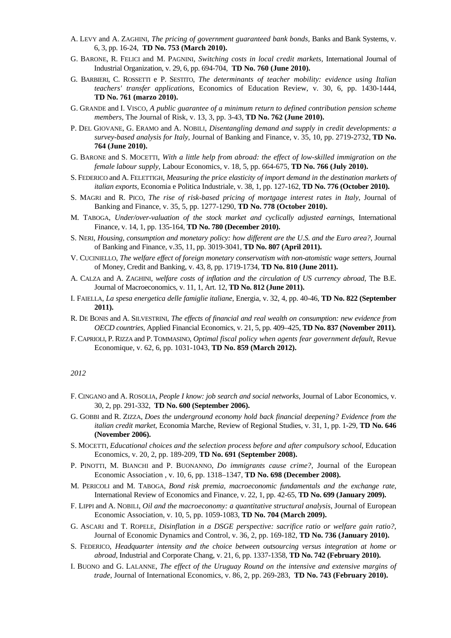- A. LEVY and A. ZAGHINI, *The pricing of government guaranteed bank bonds,* Banks and Bank Systems, v. 6, 3, pp. 16-24,**TD No. 753 (March 2010).**
- G. BARONE, R. FELICI and M. PAGNINI, *Switching costs in local credit markets,* International Journal of Industrial Organization, v. 29, 6, pp. 694-704,**TD No. 760 (June 2010).**
- G. BARBIERI, C. ROSSETTI e P. SESTITO, *The determinants of teacher mobility: evidence using Italian teachers' transfer applications*, Economics of Education Review, v. 30, 6, pp. 1430-1444, **TD No. 761 (marzo 2010).**
- G. GRANDE and I. VISCO, *A public guarantee of a minimum return to defined contribution pension scheme members,* The Journal of Risk, v. 13, 3, pp. 3-43, **TD No. 762 (June 2010).**
- P. DEL GIOVANE, G. ERAMO and A. NOBILI, *Disentangling demand and supply in credit developments: a survey-based analysis for Italy,* Journal of Banking and Finance, v. 35, 10, pp. 2719-2732, **TD No. 764 (June 2010).**
- G. BARONE and S. MOCETTI, *With a little help from abroad: the effect of low-skilled immigration on the female labour supply,* Labour Economics, v. 18, 5, pp. 664-675, **TD No. 766 (July 2010).**
- S. FEDERICO and A. FELETTIGH, *Measuring the price elasticity of import demand in the destination markets of italian exports,* Economia e Politica Industriale, v. 38, 1, pp. 127-162, **TD No. 776 (October 2010).**
- S. MAGRI and R. PICO, *The rise of risk-based pricing of mortgage interest rates in Italy*, Journal of Banking and Finance, v. 35, 5, pp. 1277-1290, **TD No. 778 (October 2010).**
- M. TABOGA, *Under/over-valuation of the stock market and cyclically adjusted earnings*, International Finance, v. 14, 1, pp. 135-164, **TD No. 780 (December 2010).**
- S. NERI, *Housing, consumption and monetary policy: how different are the U.S. and the Euro area?*, Journal of Banking and Finance, v.35, 11, pp. 3019-3041, **TD No. 807 (April 2011).**
- V. CUCINIELLO, *The welfare effect of foreign monetary conservatism with non-atomistic wage setters*, Journal of Money, Credit and Banking, v. 43, 8, pp. 1719-1734, **TD No. 810 (June 2011).**
- A. CALZA and A. ZAGHINI, *welfare costs of inflation and the circulation of US currency abroad,* The B.E. Journal of Macroeconomics, v. 11, 1, Art. 12, **TD No. 812 (June 2011).**
- I. FAIELLA, *La spesa energetica delle famiglie italiane*, Energia, v. 32, 4, pp. 40-46, **TD No. 822 (September 2011).**
- R. DE BONIS and A. SILVESTRINI, *The effects of financial and real wealth on consumption: new evidence from OECD countries,* Applied Financial Economics, v. 21, 5, pp. 409–425, **TD No. 837 (November 2011).**
- F. CAPRIOLI, P. RIZZA and P. TOMMASINO, *Optimal fiscal policy when agents fear government default*, Revue Economique, v. 62, 6, pp. 1031-1043, **TD No. 859 (March 2012).**

#### *2012*

- F. CINGANO and A. ROSOLIA, *People I know: job search and social networks*, Journal of Labor Economics, v. 30, 2, pp. 291-332, **TD No. 600 (September 2006).**
- G. GOBBI and R. ZIZZA, *Does the underground economy hold back financial deepening? Evidence from the italian credit market*, Economia Marche, Review of Regional Studies, v. 31, 1, pp. 1-29, **TD No. 646 (November 2006).**
- S. MOCETTI, *Educational choices and the selection process before and after compulsory school*, Education Economics, v. 20, 2, pp. 189-209, **TD No. 691 (September 2008).**
- P. PINOTTI, M. BIANCHI and P. BUONANNO, *Do immigrants cause crime?*, Journal of the European Economic Association , v. 10, 6, pp. 1318–1347, **TD No. 698 (December 2008).**
- M. PERICOLI and M. TABOGA, *Bond risk premia, macroeconomic fundamentals and the exchange rate*, International Review of Economics and Finance, v. 22, 1, pp. 42-65, **TD No. 699 (January 2009).**
- F. LIPPI and A. NOBILI, *Oil and the macroeconomy: a quantitative structural analysis,* Journal of European Economic Association, v. 10, 5, pp. 1059-1083, **TD No. 704 (March 2009).**
- G. ASCARI and T. ROPELE, *Disinflation in a DSGE perspective: sacrifice ratio or welfare gain ratio?,* Journal of Economic Dynamics and Control, v. 36, 2, pp. 169-182, **TD No. 736 (January 2010).**
- S. FEDERICO, *Headquarter intensity and the choice between outsourcing versus integration at home or abroad*, Industrial and Corporate Chang, v. 21, 6, pp. 1337-1358, **TD No. 742 (February 2010).**
- I. BUONO and G. LALANNE, *The effect of the Uruguay Round on the intensive and extensive margins of trade,* Journal of International Economics, v. 86, 2, pp. 269-283,**TD No. 743 (February 2010).**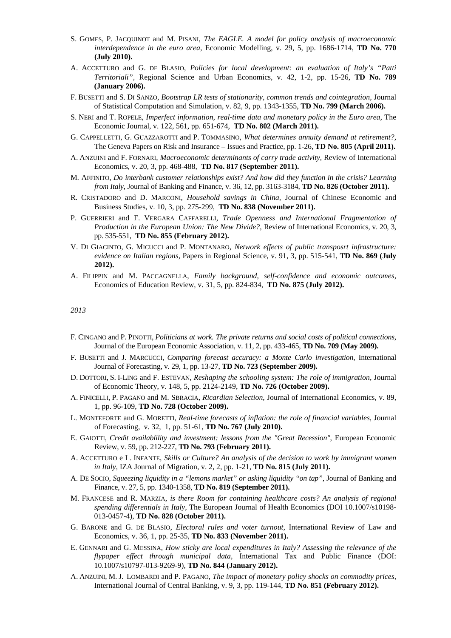- S. GOMES, P. JACQUINOT and M. PISANI, *The EAGLE. A model for policy analysis of macroeconomic interdependence in the euro area,* Economic Modelling, v. 29, 5, pp. 1686-1714, **TD No. 770 (July 2010).**
- A. ACCETTURO and G. DE BLASIO, *Policies for local development: an evaluation of Italy's "Patti Territoriali",* Regional Science and Urban Economics, v. 42, 1-2, pp. 15-26, **TD No. 789 (January 2006).**
- F. BUSETTI and S. DI SANZO, *Bootstrap LR tests of stationarity, common trends and cointegration,* Journal of Statistical Computation and Simulation, v. 82, 9, pp. 1343-1355, **TD No. 799 (March 2006).**
- S. NERI and T. ROPELE, *Imperfect information, real-time data and monetary policy in the Euro area,* The Economic Journal, v. 122, 561, pp. 651-674,**TD No. 802 (March 2011).**
- G. CAPPELLETTI, G. GUAZZAROTTI and P. TOMMASINO, *What determines annuity demand at retirement?,* The Geneva Papers on Risk and Insurance – Issues and Practice, pp. 1-26, **TD No. 805 (April 2011).**
- A. ANZUINI and F. FORNARI, *Macroeconomic determinants of carry trade activity,* Review of International Economics, v. 20, 3, pp. 468-488,**TD No. 817 (September 2011).**
- M. AFFINITO, *Do interbank customer relationships exist? And how did they function in the crisis? Learning from Italy*, Journal of Banking and Finance, v. 36, 12, pp. 3163-3184, **TD No. 826 (October 2011).**
- R. CRISTADORO and D. MARCONI, *Household savings in China,* Journal of Chinese Economic and Business Studies, v. 10, 3, pp. 275-299,**TD No. 838 (November 2011).**
- P. GUERRIERI and F. VERGARA CAFFARELLI, *Trade Openness and International Fragmentation of Production in the European Union: The New Divide?,* Review of International Economics, v. 20, 3, pp. 535-551,**TD No. 855 (February 2012).**
- V. DI GIACINTO, G. MICUCCI and P. MONTANARO, *Network effects of public transposrt infrastructure: evidence on Italian regions,* Papers in Regional Science, v. 91, 3, pp. 515-541, **TD No. 869 (July 2012).**
- A. FILIPPIN and M. PACCAGNELLA, *Family background, self-confidence and economic outcomes,* Economics of Education Review, v. 31, 5, pp. 824-834,**TD No. 875 (July 2012).**

#### *2013*

- F. CINGANO and P. PINOTTI, *Politicians at work. The private returns and social costs of political connections*, Journal of the European Economic Association, v. 11, 2, pp. 433-465, **TD No. 709 (May 2009).**
- F. BUSETTI and J. MARCUCCI, *Comparing forecast accuracy: a Monte Carlo investigation*, International Journal of Forecasting, v. 29, 1, pp. 13-27, **TD No. 723 (September 2009).**
- D. DOTTORI, S. I-LING and F. ESTEVAN, *Reshaping the schooling system: The role of immigration*, Journal of Economic Theory, v. 148, 5, pp. 2124-2149, **TD No. 726 (October 2009).**
- A. FINICELLI, P. PAGANO and M. SBRACIA, *Ricardian Selection*, Journal of International Economics, v. 89, 1, pp. 96-109, **TD No. 728 (October 2009).**
- L. MONTEFORTE and G. MORETTI, *Real-time forecasts of inflation: the role of financial variables*, Journal of Forecasting, v. 32, 1, pp. 51-61, **TD No. 767 (July 2010).**
- E. GAIOTTI, *Credit availablility and investment: lessons from the "Great Recession"*, European Economic Review, v. 59, pp. 212-227, **TD No. 793 (February 2011).**
- A. ACCETTURO e L. INFANTE, *Skills or Culture? An analysis of the decision to work by immigrant women in Italy,* IZA Journal of Migration, v. 2, 2, pp. 1-21, **TD No. 815 (July 2011).**
- A. DE SOCIO, *Squeezing liquidity in a "lemons market" or asking liquidity "on tap"*, Journal of Banking and Finance, v. 27, 5, pp. 1340-1358, **TD No. 819 (September 2011).**
- M. FRANCESE and R. MARZIA, *is there Room for containing healthcare costs? An analysis of regional spending differentials in Italy,* The European Journal of Health Economics (DOI 10.1007/s10198- 013-0457-4), **TD No. 828 (October 2011).**
- G. BARONE and G. DE BLASIO, *Electoral rules and voter turnout,* International Review of Law and Economics, v. 36, 1, pp. 25-35, **TD No. 833 (November 2011).**
- E. GENNARI and G. MESSINA, *How sticky are local expenditures in Italy? Assessing the relevance of the flypaper effect through municipal data,* International Tax and Public Finance (DOI: 10.1007/s10797-013-9269-9), **TD No. 844 (January 2012).**
- A. ANZUINI, M. J. LOMBARDI and P. PAGANO, *The impact of monetary policy shocks on commodity prices*, International Journal of Central Banking, v. 9, 3, pp. 119-144, **TD No. 851 (February 2012).**